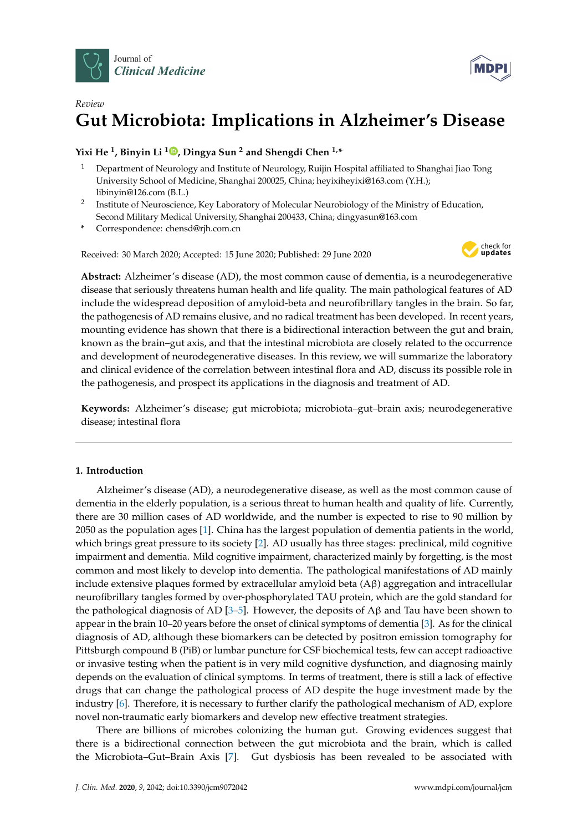



# *Review* **Gut Microbiota: Implications in Alzheimer's Disease**

**Yixi He <sup>1</sup> , Binyin Li <sup>1</sup> [,](https://orcid.org/0000-0003-1953-382X) Dingya Sun <sup>2</sup> and Shengdi Chen 1,\***

- <sup>1</sup> Department of Neurology and Institute of Neurology, Ruijin Hospital affiliated to Shanghai Jiao Tong University School of Medicine, Shanghai 200025, China; heyixiheyixi@163.com (Y.H.); libinyin@126.com (B.L.)
- <sup>2</sup> Institute of Neuroscience, Key Laboratory of Molecular Neurobiology of the Ministry of Education, Second Military Medical University, Shanghai 200433, China; dingyasun@163.com
- **\*** Correspondence: chensd@rjh.com.cn

Received: 30 March 2020; Accepted: 15 June 2020; Published: 29 June 2020



**Abstract:** Alzheimer's disease (AD), the most common cause of dementia, is a neurodegenerative disease that seriously threatens human health and life quality. The main pathological features of AD include the widespread deposition of amyloid-beta and neurofibrillary tangles in the brain. So far, the pathogenesis of AD remains elusive, and no radical treatment has been developed. In recent years, mounting evidence has shown that there is a bidirectional interaction between the gut and brain, known as the brain–gut axis, and that the intestinal microbiota are closely related to the occurrence and development of neurodegenerative diseases. In this review, we will summarize the laboratory and clinical evidence of the correlation between intestinal flora and AD, discuss its possible role in the pathogenesis, and prospect its applications in the diagnosis and treatment of AD.

**Keywords:** Alzheimer's disease; gut microbiota; microbiota–gut–brain axis; neurodegenerative disease; intestinal flora

## **1. Introduction**

Alzheimer's disease (AD), a neurodegenerative disease, as well as the most common cause of dementia in the elderly population, is a serious threat to human health and quality of life. Currently, there are 30 million cases of AD worldwide, and the number is expected to rise to 90 million by 2050 as the population ages [\[1\]](#page-12-0). China has the largest population of dementia patients in the world, which brings great pressure to its society [\[2\]](#page-12-1). AD usually has three stages: preclinical, mild cognitive impairment and dementia. Mild cognitive impairment, characterized mainly by forgetting, is the most common and most likely to develop into dementia. The pathological manifestations of AD mainly include extensive plaques formed by extracellular amyloid beta (Aβ) aggregation and intracellular neurofibrillary tangles formed by over-phosphorylated TAU protein, which are the gold standard for the pathological diagnosis of AD [\[3](#page-13-0)[–5\]](#page-13-1). However, the deposits of Aβ and Tau have been shown to appear in the brain 10–20 years before the onset of clinical symptoms of dementia [\[3\]](#page-13-0). As for the clinical diagnosis of AD, although these biomarkers can be detected by positron emission tomography for Pittsburgh compound B (PiB) or lumbar puncture for CSF biochemical tests, few can accept radioactive or invasive testing when the patient is in very mild cognitive dysfunction, and diagnosing mainly depends on the evaluation of clinical symptoms. In terms of treatment, there is still a lack of effective drugs that can change the pathological process of AD despite the huge investment made by the industry [\[6\]](#page-13-2). Therefore, it is necessary to further clarify the pathological mechanism of AD, explore novel non-traumatic early biomarkers and develop new effective treatment strategies.

There are billions of microbes colonizing the human gut. Growing evidences suggest that there is a bidirectional connection between the gut microbiota and the brain, which is called the Microbiota–Gut–Brain Axis [\[7\]](#page-13-3). Gut dysbiosis has been revealed to be associated with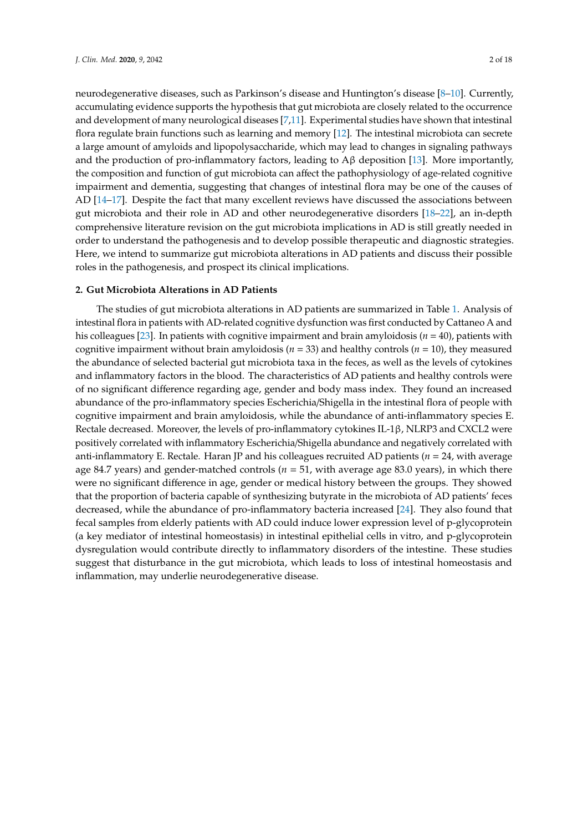neurodegenerative diseases, such as Parkinson's disease and Huntington's disease [\[8](#page-13-4)[–10\]](#page-13-5). Currently, accumulating evidence supports the hypothesis that gut microbiota are closely related to the occurrence and development of many neurological diseases [\[7,](#page-13-3)[11\]](#page-13-6). Experimental studies have shown that intestinal flora regulate brain functions such as learning and memory [\[12\]](#page-13-7). The intestinal microbiota can secrete a large amount of amyloids and lipopolysaccharide, which may lead to changes in signaling pathways and the production of pro-inflammatory factors, leading to  $A\beta$  deposition [\[13\]](#page-13-8). More importantly, the composition and function of gut microbiota can affect the pathophysiology of age-related cognitive impairment and dementia, suggesting that changes of intestinal flora may be one of the causes of AD [\[14](#page-13-9)[–17\]](#page-13-10). Despite the fact that many excellent reviews have discussed the associations between gut microbiota and their role in AD and other neurodegenerative disorders [\[18–](#page-13-11)[22\]](#page-13-12), an in-depth comprehensive literature revision on the gut microbiota implications in AD is still greatly needed in order to understand the pathogenesis and to develop possible therapeutic and diagnostic strategies. Here, we intend to summarize gut microbiota alterations in AD patients and discuss their possible roles in the pathogenesis, and prospect its clinical implications.

## **2. Gut Microbiota Alterations in AD Patients**

The studies of gut microbiota alterations in AD patients are summarized in Table [1.](#page-2-0) Analysis of intestinal flora in patients with AD-related cognitive dysfunction was first conducted by Cattaneo A and his colleagues [\[23\]](#page-13-13). In patients with cognitive impairment and brain amyloidosis (*n* = 40), patients with cognitive impairment without brain amyloidosis (*n* = 33) and healthy controls (*n* = 10), they measured the abundance of selected bacterial gut microbiota taxa in the feces, as well as the levels of cytokines and inflammatory factors in the blood. The characteristics of AD patients and healthy controls were of no significant difference regarding age, gender and body mass index. They found an increased abundance of the pro-inflammatory species Escherichia/Shigella in the intestinal flora of people with cognitive impairment and brain amyloidosis, while the abundance of anti-inflammatory species E. Rectale decreased. Moreover, the levels of pro-inflammatory cytokines IL-1β, NLRP3 and CXCL2 were positively correlated with inflammatory Escherichia/Shigella abundance and negatively correlated with anti-inflammatory E. Rectale. Haran JP and his colleagues recruited AD patients (*n* = 24, with average age 84.7 years) and gender-matched controls (*n* = 51, with average age 83.0 years), in which there were no significant difference in age, gender or medical history between the groups. They showed that the proportion of bacteria capable of synthesizing butyrate in the microbiota of AD patients' feces decreased, while the abundance of pro-inflammatory bacteria increased [\[24\]](#page-14-0). They also found that fecal samples from elderly patients with AD could induce lower expression level of p-glycoprotein (a key mediator of intestinal homeostasis) in intestinal epithelial cells in vitro, and p-glycoprotein dysregulation would contribute directly to inflammatory disorders of the intestine. These studies suggest that disturbance in the gut microbiota, which leads to loss of intestinal homeostasis and inflammation, may underlie neurodegenerative disease.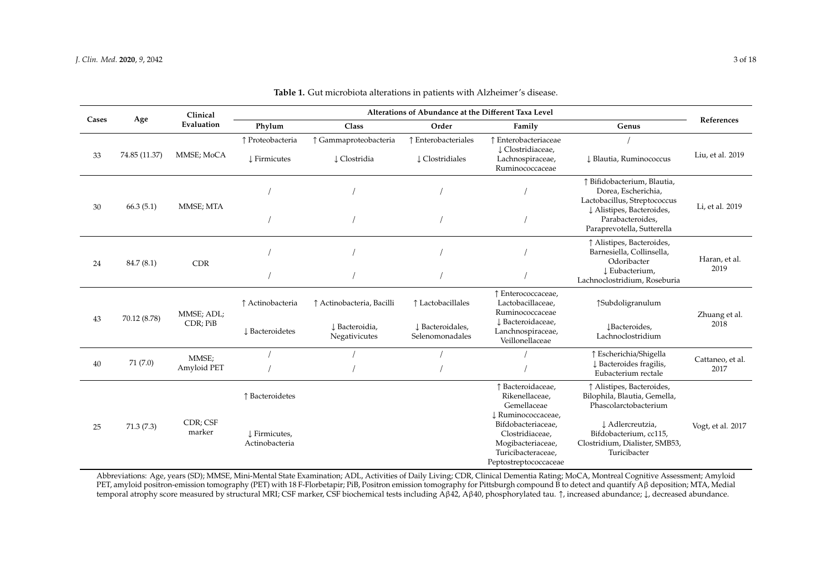|       | Age           | Clinical<br>Evaluation | Alterations of Abundance at the Different Taxa Level |                                                              |                                                          |                                                                                                                                                                                       |                                                                                                                                                                                    |                          |
|-------|---------------|------------------------|------------------------------------------------------|--------------------------------------------------------------|----------------------------------------------------------|---------------------------------------------------------------------------------------------------------------------------------------------------------------------------------------|------------------------------------------------------------------------------------------------------------------------------------------------------------------------------------|--------------------------|
| Cases |               |                        | Phylum                                               | Class                                                        | Order                                                    | Family                                                                                                                                                                                | Genus                                                                                                                                                                              | References               |
| 33    | 74.85 (11.37) | MMSE; MoCA             | ↑ Proteobacteria<br><b>J</b> Firmicutes              | ↑ Gammaproteobacteria<br>↓ Clostridia                        | ↑ Enterobacteriales<br>$\downarrow$ Clostridiales        | ↑ Enterobacteriaceae<br>L Clostridiaceae,<br>Lachnospiraceae,<br>Ruminococcaceae                                                                                                      | J Blautia, Ruminococcus                                                                                                                                                            | Liu, et al. 2019         |
| 30    | 66.3(5.1)     | MMSE; MTA              |                                                      |                                                              |                                                          |                                                                                                                                                                                       | ↑ Bifidobacterium, Blautia,<br>Dorea, Escherichia,<br>Lactobacillus, Streptococcus<br>↓ Alistipes, Bacteroides,<br>Parabacteroides,<br>Paraprevotella, Sutterella                  | Li, et al. 2019          |
| 24    | 84.7 (8.1)    | <b>CDR</b>             |                                                      |                                                              |                                                          |                                                                                                                                                                                       | ↑ Alistipes, Bacteroides,<br>Barnesiella, Collinsella,<br>Odoribacter<br>L Eubacterium,<br>Lachnoclostridium, Roseburia                                                            | Haran, et al.<br>2019    |
| 43    | 70.12 (8.78)  | MMSE; ADL;<br>CDR; PiB | ↑ Actinobacteria<br>L Bacteroidetes                  | ↑ Actinobacteria, Bacilli<br>↓ Bacteroidia,<br>Negativicutes | ↑ Lactobacillales<br>↓ Bacteroidales,<br>Selenomonadales | ↑ Enterococcaceae,<br>Lactobacillaceae,<br>Ruminococcaceae<br>L Bacteroidaceae,<br>Lanchnospiraceae,<br>Veillonellaceae                                                               | ↑Subdoligranulum<br>JBacteroides,<br>Lachnoclostridium                                                                                                                             | Zhuang et al.<br>2018    |
| 40    | 71 (7.0)      | MMSE;<br>Amyloid PET   |                                                      |                                                              |                                                          |                                                                                                                                                                                       | ↑ Escherichia/Shigella<br>↓ Bacteroides fragilis,<br>Eubacterium rectale                                                                                                           | Cattaneo, et al.<br>2017 |
| 25    | 71.3(7.3)     | CDR; CSF<br>marker     | ↑ Bacteroidetes<br>↓ Firmicutes,<br>Actinobacteria   |                                                              |                                                          | ↑ Bacteroidaceae,<br>Rikenellaceae,<br>Gemellaceae<br>J Ruminococcaceae,<br>Bifdobacteriaceae,<br>Clostridiaceae,<br>Mogibacteriaceae,<br>Turicibacteraceae,<br>Peptostreptococcaceae | ↑ Alistipes, Bacteroides,<br>Bilophila, Blautia, Gemella,<br>Phascolarctobacterium<br>↓ Adlercreutzia,<br>Bifdobacterium, cc115,<br>Clostridium, Dialister, SMB53,<br>Turicibacter | Vogt, et al. 2017        |

**Table 1.** Gut microbiota alterations in patients with Alzheimer's disease.

<span id="page-2-0"></span>Abbreviations: Age, years (SD); MMSE, Mini-Mental State Examination; ADL, Activities of Daily Living; CDR, Clinical Dementia Rating; MoCA, Montreal Cognitive Assessment; Amyloid PET, amyloid positron-emission tomography (PET) with 18 F-Florbetapir; PiB, Positron emission tomography for Pittsburgh compound B to detect and quantify Aβ deposition; MTA, Medial temporal atrophy score measured by structural MRI; CSF marker, CSF biochemical tests including Aβ42, Aβ40, phosphorylated tau. ↑, increased abundance; ↓, decreased abundance.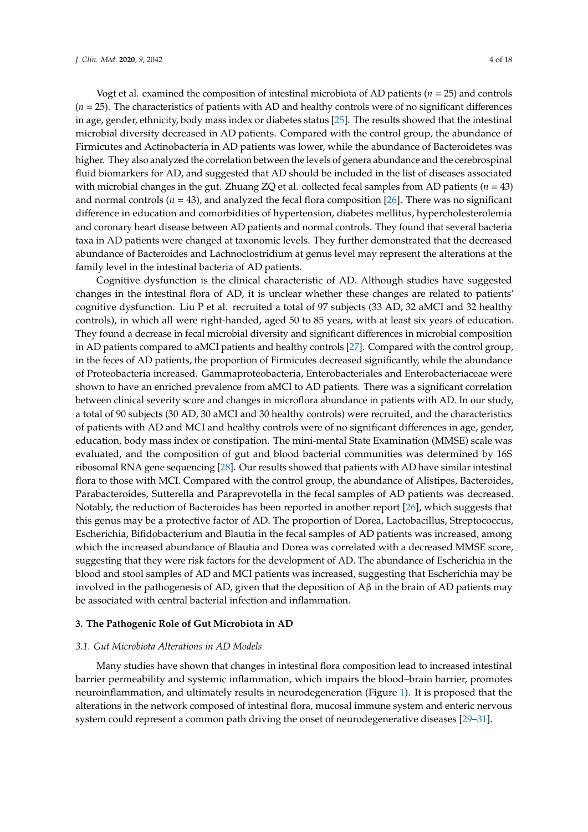Vogt et al. examined the composition of intestinal microbiota of AD patients (*n* = 25) and controls (*n* = 25). The characteristics of patients with AD and healthy controls were of no significant differences in age, gender, ethnicity, body mass index or diabetes status [\[25\]](#page-14-1). The results showed that the intestinal microbial diversity decreased in AD patients. Compared with the control group, the abundance of Firmicutes and Actinobacteria in AD patients was lower, while the abundance of Bacteroidetes was higher. They also analyzed the correlation between the levels of genera abundance and the cerebrospinal fluid biomarkers for AD, and suggested that AD should be included in the list of diseases associated with microbial changes in the gut. Zhuang ZQ et al. collected fecal samples from AD patients (*n* = 43) and normal controls (*n* = 43), and analyzed the fecal flora composition [\[26\]](#page-14-2). There was no significant difference in education and comorbidities of hypertension, diabetes mellitus, hypercholesterolemia and coronary heart disease between AD patients and normal controls. They found that several bacteria taxa in AD patients were changed at taxonomic levels. They further demonstrated that the decreased abundance of Bacteroides and Lachnoclostridium at genus level may represent the alterations at the family level in the intestinal bacteria of AD patients.

Cognitive dysfunction is the clinical characteristic of AD. Although studies have suggested changes in the intestinal flora of AD, it is unclear whether these changes are related to patients' cognitive dysfunction. Liu P et al. recruited a total of 97 subjects (33 AD, 32 aMCI and 32 healthy controls), in which all were right-handed, aged 50 to 85 years, with at least six years of education. They found a decrease in fecal microbial diversity and significant differences in microbial composition in AD patients compared to aMCI patients and healthy controls [\[27\]](#page-14-3). Compared with the control group, in the feces of AD patients, the proportion of Firmicutes decreased significantly, while the abundance of Proteobacteria increased. Gammaproteobacteria, Enterobacteriales and Enterobacteriaceae were shown to have an enriched prevalence from aMCI to AD patients. There was a significant correlation between clinical severity score and changes in microflora abundance in patients with AD. In our study, a total of 90 subjects (30 AD, 30 aMCI and 30 healthy controls) were recruited, and the characteristics of patients with AD and MCI and healthy controls were of no significant differences in age, gender, education, body mass index or constipation. The mini-mental State Examination (MMSE) scale was evaluated, and the composition of gut and blood bacterial communities was determined by 16S ribosomal RNA gene sequencing [\[28\]](#page-14-4). Our results showed that patients with AD have similar intestinal flora to those with MCI. Compared with the control group, the abundance of Alistipes, Bacteroides, Parabacteroides, Sutterella and Paraprevotella in the fecal samples of AD patients was decreased. Notably, the reduction of Bacteroides has been reported in another report [\[26\]](#page-14-2), which suggests that this genus may be a protective factor of AD. The proportion of Dorea, Lactobacillus, Streptococcus, Escherichia, Bifidobacterium and Blautia in the fecal samples of AD patients was increased, among which the increased abundance of Blautia and Dorea was correlated with a decreased MMSE score, suggesting that they were risk factors for the development of AD. The abundance of Escherichia in the blood and stool samples of AD and MCI patients was increased, suggesting that Escherichia may be involved in the pathogenesis of AD, given that the deposition of  $A\beta$  in the brain of AD patients may be associated with central bacterial infection and inflammation.

## **3. The Pathogenic Role of Gut Microbiota in AD**

#### *3.1. Gut Microbiota Alterations in AD Models*

Many studies have shown that changes in intestinal flora composition lead to increased intestinal barrier permeability and systemic inflammation, which impairs the blood–brain barrier, promotes neuroinflammation, and ultimately results in neurodegeneration (Figure [1\)](#page-4-0). It is proposed that the alterations in the network composed of intestinal flora, mucosal immune system and enteric nervous system could represent a common path driving the onset of neurodegenerative diseases [\[29](#page-14-5)[–31\]](#page-14-6).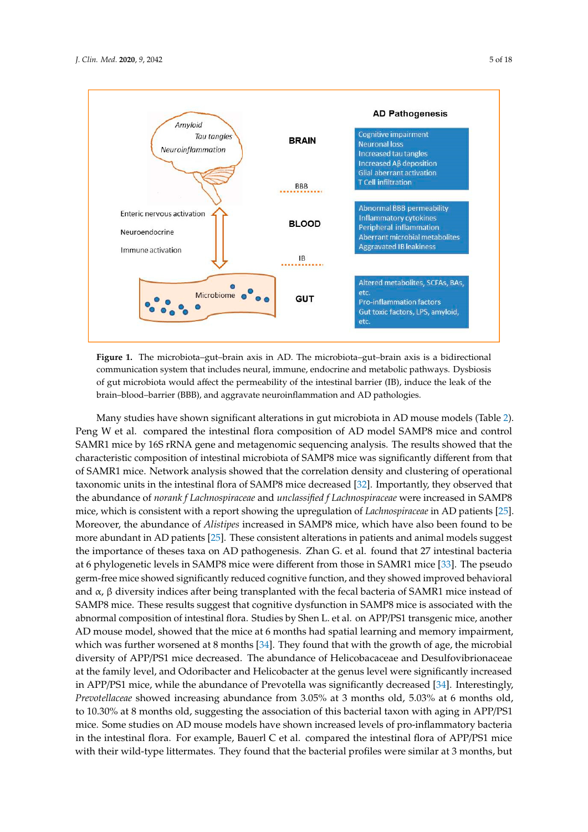<span id="page-4-0"></span>

**Figure 1.** The microbiota–gut–brain axis in AD. The microbiota–gut–brain axis is a bidirectional **Figure 1.** The microbiota–gut–brain axis in AD. The microbiota–gut–brain axis is a bidirectional communication system that includes neural, immune, endocrine and metabolic pathways. Dysbiosis communication system that includes neural, immune, endocrine and metabolic pathways. Dysbiosis of gut microbiota would affect the permeability of the intestinal barrier (IB), induce the leak of the of gut microbiota would affect the permeability of the intestinal barrier (IB), induce the leak of the brain–blood–barrier (BBB), and aggravate neuroinflammation and AD pathologies. brain–blood–barrier (BBB), and aggravate neuroinflammation and AD pathologies.

Many studies have shown significant alterations in gut microbiota in AD mouse models (Table Many studies have shown significant alterations in gut microbiota in AD mouse models (Table [2\)](#page-5-0). 2). Peng W et al. compared the intestinal flora composition of AD model SAMP8 mice and control Peng W et al. compared the intestinal flora composition of AD model SAMP8 mice and control SAMR1 mice by 16S rRNA gene and metagenomic sequencing analysis. The results showed that the SAMR1 mice by 16S rRNA gene and metagenomic sequencing analysis. The results showed that the characteristic composition of intestinal microbiota of SAMP8 mice was significantly different from characteristic composition of intestinal microbiota of SAMP8 mice was significantly different from that of SAMR1 mice. Network analysis showed that the correlation density and clustering of operational taxonomic units in the intestinal flora of SAMP8 mice decreased [\[32\]](#page-14-7). Importantly, they observed that the abundance of norank f Lachnospiraceae and unclassified f Lachnospiraceae were increased in  $\operatorname{SAMP8}$ mice, which is consistent with a report showing the upregulation of *Lachnospiraceae* in AD patients [\[25\]](#page-14-1). Moreover, the abundance of *Alistipes* increased in SAMP8 mice, which have also been found to be more abundant in AD patients [\[25\]](#page-14-1). These consistent alterations in patients and animal models suggest the importance of theses taxa on AD pathogenesis. Zhan G. et al. found that 27 intestinal bacteria at 6 phylogenetic levels in SAMP8 mice were different from those in SAMR1 mice [\[33\]](#page-14-8). The pseudo germ-free mice showed significantly reduced cognitive function, and they showed improved behavioral and α, β diversity indices after being transplanted with the fecal bacteria of SAMR1 mice instead of SAMP8 mice. These results suggest that cognitive dysfunction in SAMP8 mice is associated with the abnormal composition of intestinal flora. Studies by Shen L. et al. on APP/PS1 transgenic mice, another AD mouse model, showed that the mice at 6 months had spatial learning and memory impairment, which was further worsened at 8 months [\[34\]](#page-14-9). They found that with the growth of age, the microbial diversity of APP/PS1 mice decreased. The abundance of Helicobacaceae and Desulfovibrionaceae at the family level, and Odoribacter and Helicobacter at the genus level were significantly increased in APP/PS1 mice, while the abundance of Prevotella was significantly decreased [\[34\]](#page-14-9). Interestingly, *Prevotellaceae* showed increasing abundance from 3.05% at 3 months old, 5.03% at 6 months old, to 10.30% at 8 months old, suggesting the association of this bacterial taxon with aging in APP/PS1 mice. Some studies on AD mouse models have shown increased levels of pro-inflammatory bacteria in the intestinal flora. For example, Bauerl C et al. compared the intestinal flora of APP/PS1 mice with their wild-type littermates. They found that the bacterial profiles were similar at 3 months, but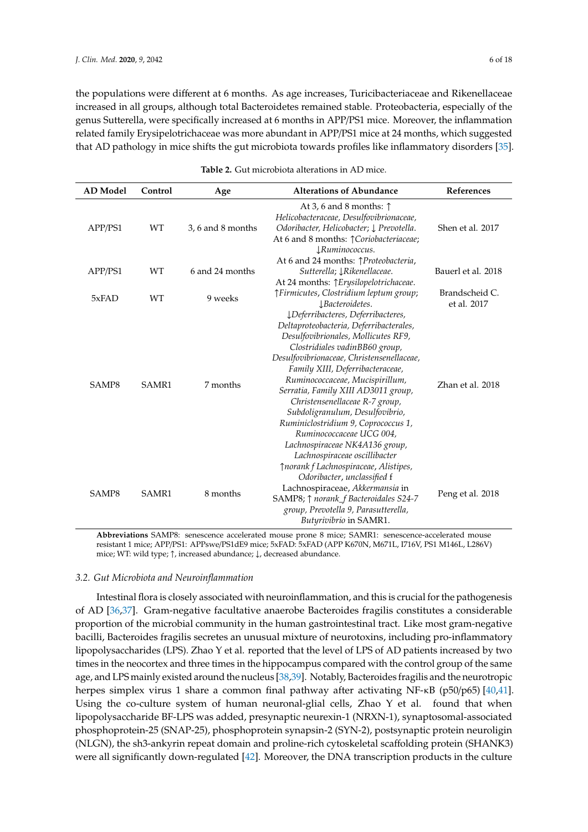the populations were different at 6 months. As age increases, Turicibacteriaceae and Rikenellaceae increased in all groups, although total Bacteroidetes remained stable. Proteobacteria, especially of the genus Sutterella, were specifically increased at 6 months in APP/PS1 mice. Moreover, the inflammation related family Erysipelotrichaceae was more abundant in APP/PS1 mice at 24 months, which suggested that AD pathology in mice shifts the gut microbiota towards profiles like inflammatory disorders [\[35\]](#page-14-10).

<span id="page-5-0"></span>

| <b>AD</b> Model | Control   | Age               | <b>Alterations of Abundance</b>                                                                                                                                                                                                                                                                                                                                                                                                                                                                                              | References                    |
|-----------------|-----------|-------------------|------------------------------------------------------------------------------------------------------------------------------------------------------------------------------------------------------------------------------------------------------------------------------------------------------------------------------------------------------------------------------------------------------------------------------------------------------------------------------------------------------------------------------|-------------------------------|
| APP/PS1         | WT        | 3, 6 and 8 months | At 3, 6 and 8 months: $\uparrow$<br>Helicobacteraceae, Desulfovibrionaceae,<br>Odoribacter, Helicobacter; $\downarrow$ Prevotella.<br>At 6 and 8 months: $\uparrow$ Coriobacteriaceae;<br>$\downarrow$ Ruminococcus.                                                                                                                                                                                                                                                                                                         | Shen et al. 2017              |
| APP/PS1         | <b>WT</b> | 6 and 24 months   | At 6 and 24 months: <i>[Proteobacteria</i> ,<br>Sutterella; <i>JRikenellaceae</i> .<br>At 24 months: $\uparrow$ Erysilopelotrichaceae.                                                                                                                                                                                                                                                                                                                                                                                       | Bauerl et al. 2018            |
| 5xFAD           | <b>WT</b> | 9 weeks           | <i>fFirmicutes, Clostridium leptum group;</i><br>$\downarrow$ Bacteroidetes.                                                                                                                                                                                                                                                                                                                                                                                                                                                 | Brandscheid C.<br>et al. 2017 |
| SAMP8           | SAMR1     | 7 months          | ¿Deferribacteres, Deferribacteres,<br>Deltaproteobacteria, Deferribacterales,<br>Desulfovibrionales, Mollicutes RF9,<br>Clostridiales vadinBB60 group,<br>Desulfovibrionaceae, Christensenellaceae,<br>Family XIII, Deferribacteraceae,<br>Ruminococcaceae, Mucispirillum,<br>Serratia, Family XIII AD3011 group,<br>Christensenellaceae R-7 group,<br>Subdoligranulum, Desulfovibrio,<br>Ruminiclostridium 9, Coprococcus 1,<br>Ruminococcaceae UCG 004,<br>Lachnospiraceae NK4A136 group,<br>Lachnospiraceae oscillibacter | Zhan et al. 2018              |
| SAMP8           | SAMR1     | 8 months          | ↑norank f Lachnospiraceae, Alistipes,<br>Odoribacter, unclassified f<br>Lachnospiraceae, Akkermansia in<br>SAMP8; $\uparrow$ norank_f Bacteroidales S24-7<br>group, Prevotella 9, Parasutterella,<br>Butyrivibrio in SAMR1.                                                                                                                                                                                                                                                                                                  | Peng et al. 2018              |

| <b>Table 2.</b> Gut microbiota alterations in AD mice. |
|--------------------------------------------------------|
|                                                        |

**Abbreviations** SAMP8: senescence accelerated mouse prone 8 mice; SAMR1: senescence-accelerated mouse resistant 1 mice; APP/PS1: APPswe/PS1dE9 mice; 5xFAD: 5xFAD (APP K670N, M671L, I716V, PS1 M146L, L286V) mice; WT: wild type; ↑, increased abundance; ↓, decreased abundance.

## *3.2. Gut Microbiota and Neuroinflammation*

Intestinal flora is closely associated with neuroinflammation, and this is crucial for the pathogenesis of AD [\[36](#page-14-11)[,37\]](#page-14-12). Gram-negative facultative anaerobe Bacteroides fragilis constitutes a considerable proportion of the microbial community in the human gastrointestinal tract. Like most gram-negative bacilli, Bacteroides fragilis secretes an unusual mixture of neurotoxins, including pro-inflammatory lipopolysaccharides (LPS). Zhao Y et al. reported that the level of LPS of AD patients increased by two times in the neocortex and three times in the hippocampus compared with the control group of the same age, and LPS mainly existed around the nucleus [\[38,](#page-14-13)[39\]](#page-14-14). Notably, Bacteroides fragilis and the neurotropic herpes simplex virus 1 share a common final pathway after activating NF-κB (p50/p65) [\[40,](#page-14-15)[41\]](#page-14-16). Using the co-culture system of human neuronal-glial cells, Zhao Y et al. found that when lipopolysaccharide BF-LPS was added, presynaptic neurexin-1 (NRXN-1), synaptosomal-associated phosphoprotein-25 (SNAP-25), phosphoprotein synapsin-2 (SYN-2), postsynaptic protein neuroligin (NLGN), the sh3-ankyrin repeat domain and proline-rich cytoskeletal scaffolding protein (SHANK3) were all significantly down-regulated [\[42\]](#page-14-17). Moreover, the DNA transcription products in the culture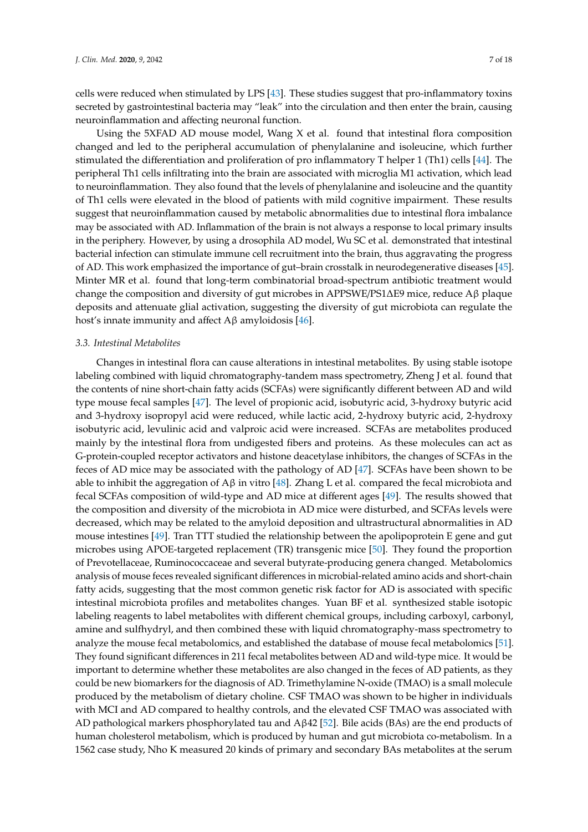cells were reduced when stimulated by LPS [\[43\]](#page-15-0). These studies suggest that pro-inflammatory toxins secreted by gastrointestinal bacteria may "leak" into the circulation and then enter the brain, causing neuroinflammation and affecting neuronal function.

Using the 5XFAD AD mouse model, Wang X et al. found that intestinal flora composition changed and led to the peripheral accumulation of phenylalanine and isoleucine, which further stimulated the differentiation and proliferation of pro inflammatory T helper 1 (Th1) cells [\[44\]](#page-15-1). The peripheral Th1 cells infiltrating into the brain are associated with microglia M1 activation, which lead to neuroinflammation. They also found that the levels of phenylalanine and isoleucine and the quantity of Th1 cells were elevated in the blood of patients with mild cognitive impairment. These results suggest that neuroinflammation caused by metabolic abnormalities due to intestinal flora imbalance may be associated with AD. Inflammation of the brain is not always a response to local primary insults in the periphery. However, by using a drosophila AD model, Wu SC et al. demonstrated that intestinal bacterial infection can stimulate immune cell recruitment into the brain, thus aggravating the progress of AD. This work emphasized the importance of gut–brain crosstalk in neurodegenerative diseases [\[45\]](#page-15-2). Minter MR et al. found that long-term combinatorial broad-spectrum antibiotic treatment would change the composition and diversity of gut microbes in APPSWE/PS1∆E9 mice, reduce Aβ plaque deposits and attenuate glial activation, suggesting the diversity of gut microbiota can regulate the host's innate immunity and affect  $A\beta$  amyloidosis [\[46\]](#page-15-3).

## *3.3. Intestinal Metabolites*

Changes in intestinal flora can cause alterations in intestinal metabolites. By using stable isotope labeling combined with liquid chromatography-tandem mass spectrometry, Zheng J et al. found that the contents of nine short-chain fatty acids (SCFAs) were significantly different between AD and wild type mouse fecal samples [\[47\]](#page-15-4). The level of propionic acid, isobutyric acid, 3-hydroxy butyric acid and 3-hydroxy isopropyl acid were reduced, while lactic acid, 2-hydroxy butyric acid, 2-hydroxy isobutyric acid, levulinic acid and valproic acid were increased. SCFAs are metabolites produced mainly by the intestinal flora from undigested fibers and proteins. As these molecules can act as G-protein-coupled receptor activators and histone deacetylase inhibitors, the changes of SCFAs in the feces of AD mice may be associated with the pathology of AD [\[47\]](#page-15-4). SCFAs have been shown to be able to inhibit the aggregation of  $A\beta$  in vitro [\[48\]](#page-15-5). Zhang L et al. compared the fecal microbiota and fecal SCFAs composition of wild-type and AD mice at different ages [\[49\]](#page-15-6). The results showed that the composition and diversity of the microbiota in AD mice were disturbed, and SCFAs levels were decreased, which may be related to the amyloid deposition and ultrastructural abnormalities in AD mouse intestines [\[49\]](#page-15-6). Tran TTT studied the relationship between the apolipoprotein E gene and gut microbes using APOE-targeted replacement (TR) transgenic mice [\[50\]](#page-15-7). They found the proportion of Prevotellaceae, Ruminococcaceae and several butyrate-producing genera changed. Metabolomics analysis of mouse feces revealed significant differences in microbial-related amino acids and short-chain fatty acids, suggesting that the most common genetic risk factor for AD is associated with specific intestinal microbiota profiles and metabolites changes. Yuan BF et al. synthesized stable isotopic labeling reagents to label metabolites with different chemical groups, including carboxyl, carbonyl, amine and sulfhydryl, and then combined these with liquid chromatography-mass spectrometry to analyze the mouse fecal metabolomics, and established the database of mouse fecal metabolomics [\[51\]](#page-15-8). They found significant differences in 211 fecal metabolites between AD and wild-type mice. It would be important to determine whether these metabolites are also changed in the feces of AD patients, as they could be new biomarkers for the diagnosis of AD. Trimethylamine N-oxide (TMAO) is a small molecule produced by the metabolism of dietary choline. CSF TMAO was shown to be higher in individuals with MCI and AD compared to healthy controls, and the elevated CSF TMAO was associated with AD pathological markers phosphorylated tau and  $A\beta$ 42 [\[52\]](#page-15-9). Bile acids (BAs) are the end products of human cholesterol metabolism, which is produced by human and gut microbiota co-metabolism. In a 1562 case study, Nho K measured 20 kinds of primary and secondary BAs metabolites at the serum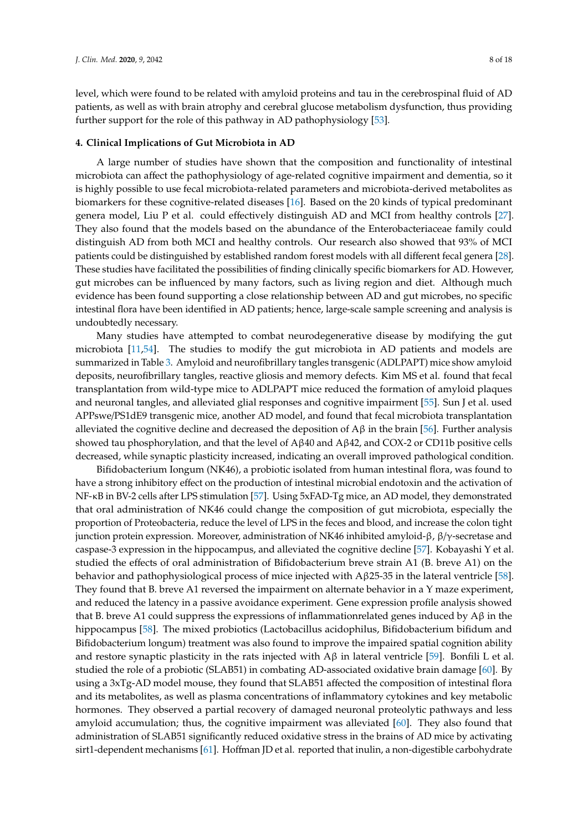level, which were found to be related with amyloid proteins and tau in the cerebrospinal fluid of AD patients, as well as with brain atrophy and cerebral glucose metabolism dysfunction, thus providing further support for the role of this pathway in AD pathophysiology [\[53\]](#page-15-10).

## **4. Clinical Implications of Gut Microbiota in AD**

A large number of studies have shown that the composition and functionality of intestinal microbiota can affect the pathophysiology of age-related cognitive impairment and dementia, so it is highly possible to use fecal microbiota-related parameters and microbiota-derived metabolites as biomarkers for these cognitive-related diseases [\[16\]](#page-13-14). Based on the 20 kinds of typical predominant genera model, Liu P et al. could effectively distinguish AD and MCI from healthy controls [\[27\]](#page-14-3). They also found that the models based on the abundance of the Enterobacteriaceae family could distinguish AD from both MCI and healthy controls. Our research also showed that 93% of MCI patients could be distinguished by established random forest models with all different fecal genera [\[28\]](#page-14-4). These studies have facilitated the possibilities of finding clinically specific biomarkers for AD. However, gut microbes can be influenced by many factors, such as living region and diet. Although much evidence has been found supporting a close relationship between AD and gut microbes, no specific intestinal flora have been identified in AD patients; hence, large-scale sample screening and analysis is undoubtedly necessary.

Many studies have attempted to combat neurodegenerative disease by modifying the gut microbiota [\[11](#page-13-6)[,54\]](#page-15-11). The studies to modify the gut microbiota in AD patients and models are summarized in Table [3.](#page-9-0) Amyloid and neurofibrillary tangles transgenic (ADLPAPT) mice show amyloid deposits, neurofibrillary tangles, reactive gliosis and memory defects. Kim MS et al. found that fecal transplantation from wild-type mice to ADLPAPT mice reduced the formation of amyloid plaques and neuronal tangles, and alleviated glial responses and cognitive impairment [\[55\]](#page-15-12). Sun J et al. used APPswe/PS1dE9 transgenic mice, another AD model, and found that fecal microbiota transplantation alleviated the cognitive decline and decreased the deposition of  $\Delta\beta$  in the brain [\[56\]](#page-15-13). Further analysis showed tau phosphorylation, and that the level of  $A\beta 40$  and  $A\beta 42$ , and COX-2 or CD11b positive cells decreased, while synaptic plasticity increased, indicating an overall improved pathological condition.

Bifidobacterium Iongum (NK46), a probiotic isolated from human intestinal flora, was found to have a strong inhibitory effect on the production of intestinal microbial endotoxin and the activation of NF-κB in BV-2 cells after LPS stimulation [\[57\]](#page-15-14). Using 5xFAD-Tg mice, an AD model, they demonstrated that oral administration of NK46 could change the composition of gut microbiota, especially the proportion of Proteobacteria, reduce the level of LPS in the feces and blood, and increase the colon tight junction protein expression. Moreover, administration of NK46 inhibited amyloid-β, β/γ-secretase and caspase-3 expression in the hippocampus, and alleviated the cognitive decline [\[57\]](#page-15-14). Kobayashi Y et al. studied the effects of oral administration of Bifidobacterium breve strain A1 (B. breve A1) on the behavior and pathophysiological process of mice injected with  $A\beta$ 25-35 in the lateral ventricle [\[58\]](#page-15-15). They found that B. breve A1 reversed the impairment on alternate behavior in a Y maze experiment, and reduced the latency in a passive avoidance experiment. Gene expression profile analysis showed that B. breve A1 could suppress the expressions of inflammationrelated genes induced by  $\text{A}\beta$  in the hippocampus [\[58\]](#page-15-15). The mixed probiotics (Lactobacillus acidophilus, Bifidobacterium bifidum and Bifidobacterium longum) treatment was also found to improve the impaired spatial cognition ability and restore synaptic plasticity in the rats injected with  $\mathbf{A}\beta$  in lateral ventricle [\[59\]](#page-15-16). Bonfili L et al. studied the role of a probiotic (SLAB51) in combating AD-associated oxidative brain damage [\[60\]](#page-15-17). By using a 3xTg-AD model mouse, they found that SLAB51 affected the composition of intestinal flora and its metabolites, as well as plasma concentrations of inflammatory cytokines and key metabolic hormones. They observed a partial recovery of damaged neuronal proteolytic pathways and less amyloid accumulation; thus, the cognitive impairment was alleviated [\[60\]](#page-15-17). They also found that administration of SLAB51 significantly reduced oxidative stress in the brains of AD mice by activating sirt1-dependent mechanisms [\[61\]](#page-16-0). Hoffman JD et al. reported that inulin, a non-digestible carbohydrate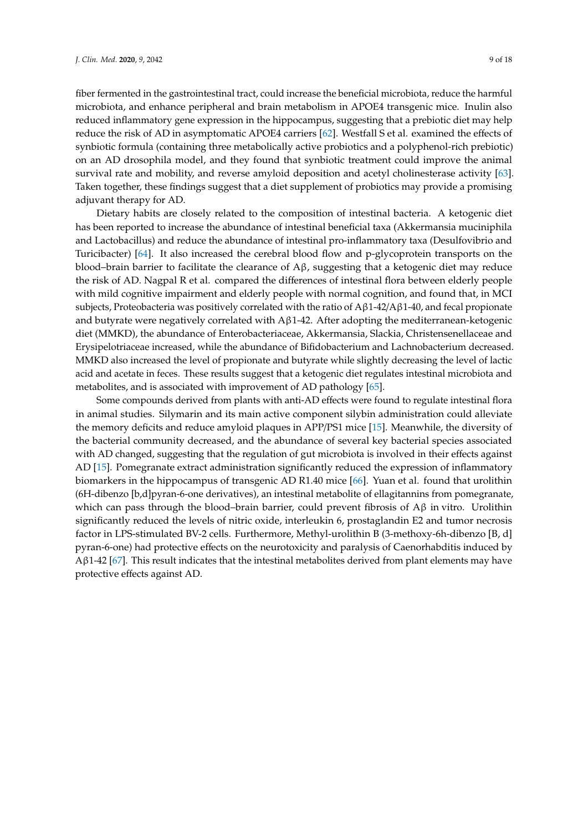fiber fermented in the gastrointestinal tract, could increase the beneficial microbiota, reduce the harmful microbiota, and enhance peripheral and brain metabolism in APOE4 transgenic mice. Inulin also reduced inflammatory gene expression in the hippocampus, suggesting that a prebiotic diet may help reduce the risk of AD in asymptomatic APOE4 carriers [\[62\]](#page-16-1). Westfall S et al. examined the effects of synbiotic formula (containing three metabolically active probiotics and a polyphenol-rich prebiotic) on an AD drosophila model, and they found that synbiotic treatment could improve the animal survival rate and mobility, and reverse amyloid deposition and acetyl cholinesterase activity [\[63\]](#page-16-2). Taken together, these findings suggest that a diet supplement of probiotics may provide a promising adjuvant therapy for AD.

Dietary habits are closely related to the composition of intestinal bacteria. A ketogenic diet has been reported to increase the abundance of intestinal beneficial taxa (Akkermansia muciniphila and Lactobacillus) and reduce the abundance of intestinal pro-inflammatory taxa (Desulfovibrio and Turicibacter) [\[64\]](#page-16-3). It also increased the cerebral blood flow and p-glycoprotein transports on the blood–brain barrier to facilitate the clearance of Aβ, suggesting that a ketogenic diet may reduce the risk of AD. Nagpal R et al. compared the differences of intestinal flora between elderly people with mild cognitive impairment and elderly people with normal cognition, and found that, in MCI subjects, Proteobacteria was positively correlated with the ratio of  $A\beta1-42/A\beta1-40$ , and fecal propionate and butyrate were negatively correlated with  $A\beta1-42$ . After adopting the mediterranean-ketogenic diet (MMKD), the abundance of Enterobacteriaceae, Akkermansia, Slackia, Christensenellaceae and Erysipelotriaceae increased, while the abundance of Bifidobacterium and Lachnobacterium decreased. MMKD also increased the level of propionate and butyrate while slightly decreasing the level of lactic acid and acetate in feces. These results suggest that a ketogenic diet regulates intestinal microbiota and metabolites, and is associated with improvement of AD pathology [\[65\]](#page-16-4).

Some compounds derived from plants with anti-AD effects were found to regulate intestinal flora in animal studies. Silymarin and its main active component silybin administration could alleviate the memory deficits and reduce amyloid plaques in APP/PS1 mice [\[15\]](#page-13-15). Meanwhile, the diversity of the bacterial community decreased, and the abundance of several key bacterial species associated with AD changed, suggesting that the regulation of gut microbiota is involved in their effects against AD [\[15\]](#page-13-15). Pomegranate extract administration significantly reduced the expression of inflammatory biomarkers in the hippocampus of transgenic AD R1.40 mice [\[66\]](#page-16-5). Yuan et al. found that urolithin (6H-dibenzo [b,d]pyran-6-one derivatives), an intestinal metabolite of ellagitannins from pomegranate, which can pass through the blood–brain barrier, could prevent fibrosis of  $A\beta$  in vitro. Urolithin significantly reduced the levels of nitric oxide, interleukin 6, prostaglandin E2 and tumor necrosis factor in LPS-stimulated BV-2 cells. Furthermore, Methyl-urolithin B (3-methoxy-6h-dibenzo [B, d] pyran-6-one) had protective effects on the neurotoxicity and paralysis of Caenorhabditis induced by Aβ1-42 [\[67\]](#page-16-6). This result indicates that the intestinal metabolites derived from plant elements may have protective effects against AD.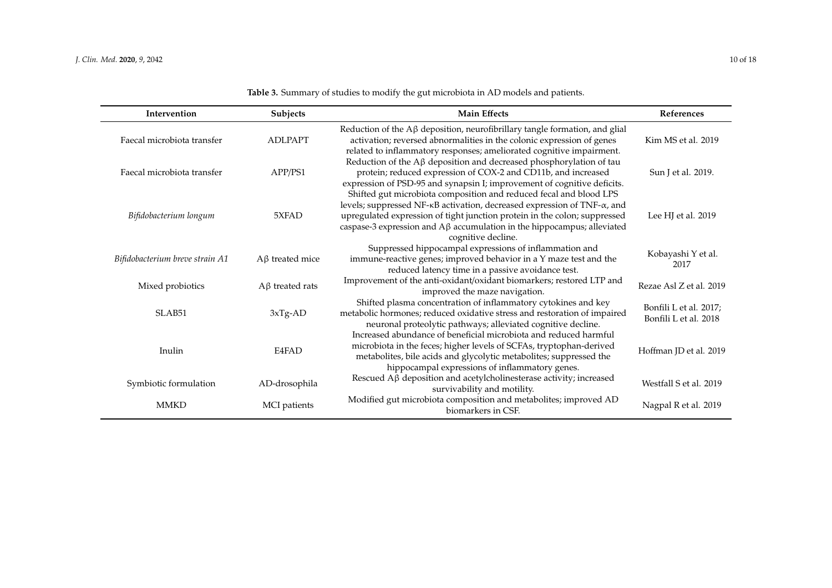<span id="page-9-0"></span>

| Intervention                    | Subjects              | <b>Main Effects</b>                                                                                                                                                                                                                                                                                                                        | References                                      |
|---------------------------------|-----------------------|--------------------------------------------------------------------------------------------------------------------------------------------------------------------------------------------------------------------------------------------------------------------------------------------------------------------------------------------|-------------------------------------------------|
| Faecal microbiota transfer      | <b>ADLPAPT</b>        | Reduction of the $A\beta$ deposition, neurofibrillary tangle formation, and glial<br>activation; reversed abnormalities in the colonic expression of genes<br>related to inflammatory responses; ameliorated cognitive impairment.                                                                                                         | Kim MS et al. 2019                              |
| Faecal microbiota transfer      | APP/PS1               | Reduction of the $A\beta$ deposition and decreased phosphorylation of tau<br>protein; reduced expression of COX-2 and CD11b, and increased<br>expression of PSD-95 and synapsin I; improvement of cognitive deficits.                                                                                                                      | Sun J et al. 2019.                              |
| Bifidobacterium longum          | 5XFAD                 | Shifted gut microbiota composition and reduced fecal and blood LPS<br>levels; suppressed NF-KB activation, decreased expression of TNF- $\alpha$ , and<br>upregulated expression of tight junction protein in the colon; suppressed<br>caspase-3 expression and $A\beta$ accumulation in the hippocampus; alleviated<br>cognitive decline. | Lee HJ et al. 2019                              |
| Bifidobacterium breve strain A1 | $A\beta$ treated mice | Suppressed hippocampal expressions of inflammation and<br>immune-reactive genes; improved behavior in a Y maze test and the<br>reduced latency time in a passive avoidance test.                                                                                                                                                           | Kobayashi Y et al.<br>2017                      |
| Mixed probiotics                | $A\beta$ treated rats | Improvement of the anti-oxidant/oxidant biomarkers; restored LTP and<br>improved the maze navigation.                                                                                                                                                                                                                                      | Rezae Asl Z et al. 2019                         |
| <b>SLAB51</b>                   | $3xTg-AD$             | Shifted plasma concentration of inflammatory cytokines and key<br>metabolic hormones; reduced oxidative stress and restoration of impaired<br>neuronal proteolytic pathways; alleviated cognitive decline.                                                                                                                                 | Bonfili L et al. 2017;<br>Bonfili L et al. 2018 |
| Inulin                          | E4FAD                 | Increased abundance of beneficial microbiota and reduced harmful<br>microbiota in the feces; higher levels of SCFAs, tryptophan-derived<br>metabolites, bile acids and glycolytic metabolites; suppressed the<br>hippocampal expressions of inflammatory genes.                                                                            | Hoffman JD et al. 2019                          |
| Symbiotic formulation           | AD-drosophila         | Rescued A <sub>B</sub> deposition and acetylcholinesterase activity; increased<br>survivability and motility.                                                                                                                                                                                                                              | Westfall S et al. 2019                          |
| <b>MMKD</b>                     | MCI patients          | Modified gut microbiota composition and metabolites; improved AD<br>biomarkers in CSF.                                                                                                                                                                                                                                                     | Nagpal R et al. 2019                            |

**Table 3.** Summary of studies to modify the gut microbiota in AD models and patients.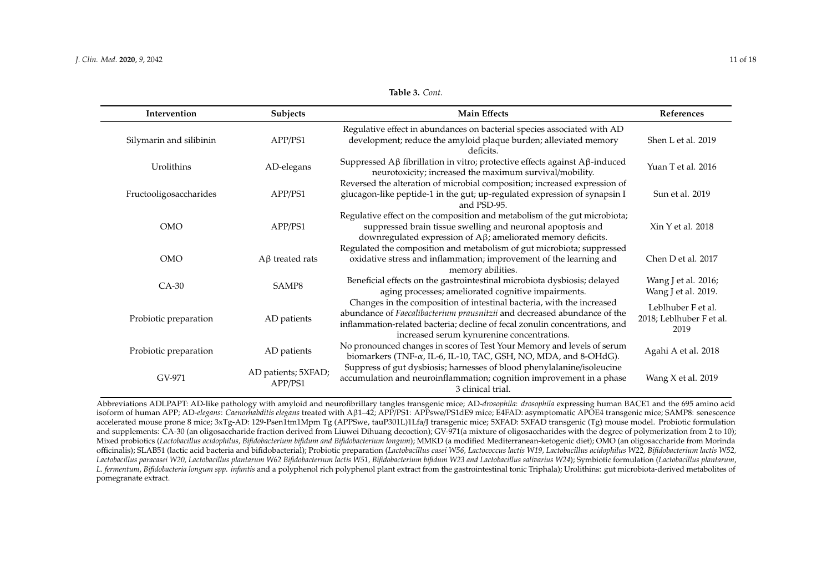| Intervention        | <b>Subjects</b> | <b>Main Effects</b>                                                                                                                                                                                                             | References         |
|---------------------|-----------------|---------------------------------------------------------------------------------------------------------------------------------------------------------------------------------------------------------------------------------|--------------------|
| harin and silibinin | APP/PS1         | Regulative effect in abundances on bacterial species associated with AD<br>development; reduce the amyloid plaque burden; alleviated memory<br>deficits.                                                                        | Shen L et al. 2019 |
| Urolithins          | AD-elegans      | Suppressed $A\beta$ fibrillation in vitro; protective effects against $A\beta$ -induced<br>neurotoxicity; increased the maximum survival/mobility.<br>Reversed the alteration of microbial composition; increased expression of | Yuan T et al. 2016 |
| ooligosaccharides   | APP/PS1         | glucagon-like peptide-1 in the gut; up-regulated expression of synapsin I<br>and PSD-95.                                                                                                                                        | Sun et al. 2019    |
| <b>OMO</b>          | APP/PS1         | Regulative effect on the composition and metabolism of the gut microbiota;<br>suppressed brain tissue swelling and neuronal apoptosis and<br>downregulated expression of $A\beta$ ; ameliorated memory deficits.                | Xin Y et al. 2018  |

**Table 3.** *Cont.*

| Silymarin and silibinin | APP/PS1                        | development; reduce the amyloid plaque burden; alleviated memory<br>deficits.                                                                                                                                                                                                  | Shen L et al. 2019                                     |
|-------------------------|--------------------------------|--------------------------------------------------------------------------------------------------------------------------------------------------------------------------------------------------------------------------------------------------------------------------------|--------------------------------------------------------|
| Urolithins              | AD-elegans                     | Suppressed $A\beta$ fibrillation in vitro; protective effects against $A\beta$ -induced<br>neurotoxicity; increased the maximum survival/mobility.                                                                                                                             | Yuan T et al. 2016                                     |
| Fructooligosaccharides  | APP/PS1                        | Reversed the alteration of microbial composition; increased expression of<br>glucagon-like peptide-1 in the gut; up-regulated expression of synapsin I<br>and PSD-95.                                                                                                          | Sun et al. 2019                                        |
| <b>OMO</b>              | APP/PS1                        | Regulative effect on the composition and metabolism of the gut microbiota;<br>suppressed brain tissue swelling and neuronal apoptosis and<br>downregulated expression of Aβ; ameliorated memory deficits.                                                                      | Xin Y et al. 2018                                      |
| <b>OMO</b>              | $A\beta$ treated rats          | Regulated the composition and metabolism of gut microbiota; suppressed<br>oxidative stress and inflammation; improvement of the learning and<br>memory abilities.                                                                                                              | Chen D et al. 2017                                     |
| $CA-30$                 | SAMP8                          | Beneficial effects on the gastrointestinal microbiota dysbiosis; delayed<br>aging processes; ameliorated cognitive impairments.                                                                                                                                                | Wang J et al. 2016;<br>Wang J et al. 2019.             |
| Probiotic preparation   | AD patients                    | Changes in the composition of intestinal bacteria, with the increased<br>abundance of Faecalibacterium prausnitzii and decreased abundance of the<br>inflammation-related bacteria; decline of fecal zonulin concentrations, and<br>increased serum kynurenine concentrations. | Leblhuber F et al.<br>2018; Leblhuber F et al.<br>2019 |
| Probiotic preparation   | AD patients                    | No pronounced changes in scores of Test Your Memory and levels of serum<br>biomarkers (TNF-α, IL-6, IL-10, TAC, GSH, NO, MDA, and 8-OHdG).                                                                                                                                     | Agahi A et al. 2018                                    |
| GV-971                  | AD patients; 5XFAD;<br>APP/PS1 | Suppress of gut dysbiosis; harnesses of blood phenylalanine/isoleucine<br>accumulation and neuroinflammation; cognition improvement in a phase<br>3 clinical trial.                                                                                                            | Wang $X$ et al. 2019                                   |

Abbreviations ADLPAPT: AD-like pathology with amyloid and neurofibrillary tangles transgenic mice; AD-*drosophila*: *drosophila* expressing human BACE1 and the 695 amino acid isoform of human APP; AD-*elegans*: *Caenorhabditis elegans* treated with Aβ1–42; APP/PS1: APPswe/PS1dE9 mice; E4FAD: asymptomatic APOE4 transgenic mice; SAMP8: senescence accelerated mouse prone 8 mice; 3xTg-AD: 129-Psen1tm1Mpm Tg (APPSwe, tauP301L)1Lfa/J transgenic mice; 5XFAD: 5XFAD transgenic (Tg) mouse model. Probiotic formulation and supplements: CA-30 (an oligosaccharide fraction derived from Liuwei Dihuang decoction); GV-971(a mixture of oligosaccharides with the degree of polymerization from 2 to 10); Mixed probiotics (*Lactobacillus acidophilus, Bifidobacterium bifidum and Bifidobacterium longum*); MMKD (a modified Mediterranean-ketogenic diet); OMO (an oligosaccharide from Morinda officinalis); SLAB51 (lactic acid bacteria and bifidobacterial); Probiotic preparation (*Lactobacillus casei W56, Lactococcus lactis W19, Lactobacillus acidophilus W22, Bifidobacterium lactis W52, Lactobacillus paracasei W20, Lactobacillus plantarum W62 Bifidobacterium lactis W51, Bifidobacterium bifidum W23 and Lactobacillus salivarius W24*); Symbiotic formulation (*Lactobacillus plantarum*, *L*. *fermentum*, *Bifidobacteria longum spp. infantis* and a polyphenol rich polyphenol plant extract from the gastrointestinal tonic Triphala); Urolithins: gut microbiota-derived metabolites of pomegranate extract.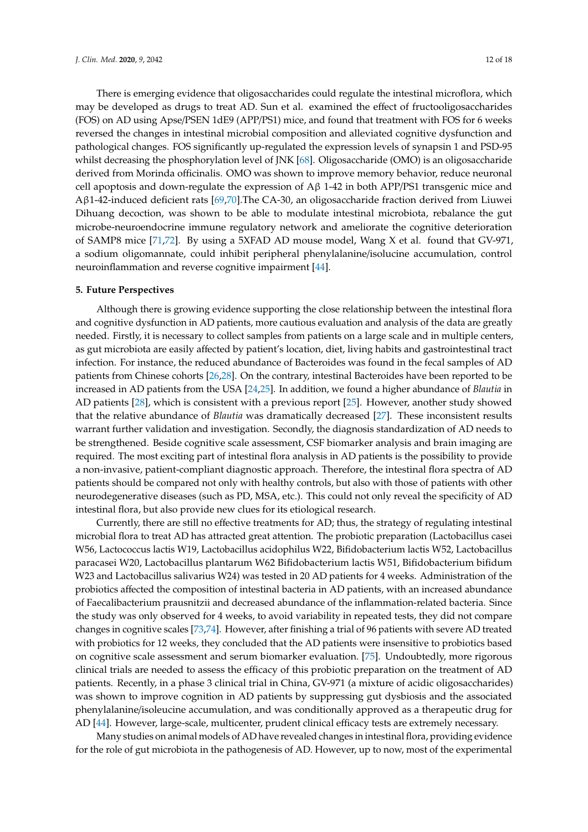There is emerging evidence that oligosaccharides could regulate the intestinal microflora, which may be developed as drugs to treat AD. Sun et al. examined the effect of fructooligosaccharides (FOS) on AD using Apse/PSEN 1dE9 (APP/PS1) mice, and found that treatment with FOS for 6 weeks reversed the changes in intestinal microbial composition and alleviated cognitive dysfunction and pathological changes. FOS significantly up-regulated the expression levels of synapsin 1 and PSD-95 whilst decreasing the phosphorylation level of JNK [\[68\]](#page-16-7). Oligosaccharide (OMO) is an oligosaccharide derived from Morinda officinalis. OMO was shown to improve memory behavior, reduce neuronal cell apoptosis and down-regulate the expression of Aβ 1-42 in both APP/PS1 transgenic mice and Aβ1-42-induced deficient rats [\[69,](#page-16-8)[70\]](#page-16-9).The CA-30, an oligosaccharide fraction derived from Liuwei Dihuang decoction, was shown to be able to modulate intestinal microbiota, rebalance the gut microbe-neuroendocrine immune regulatory network and ameliorate the cognitive deterioration of SAMP8 mice [\[71,](#page-16-10)[72\]](#page-16-11). By using a 5XFAD AD mouse model, Wang X et al. found that GV-971, a sodium oligomannate, could inhibit peripheral phenylalanine/isolucine accumulation, control neuroinflammation and reverse cognitive impairment [\[44\]](#page-15-1).

#### **5. Future Perspectives**

Although there is growing evidence supporting the close relationship between the intestinal flora and cognitive dysfunction in AD patients, more cautious evaluation and analysis of the data are greatly needed. Firstly, it is necessary to collect samples from patients on a large scale and in multiple centers, as gut microbiota are easily affected by patient's location, diet, living habits and gastrointestinal tract infection. For instance, the reduced abundance of Bacteroides was found in the fecal samples of AD patients from Chinese cohorts [\[26](#page-14-2)[,28\]](#page-14-4). On the contrary, intestinal Bacteroides have been reported to be increased in AD patients from the USA [\[24,](#page-14-0)[25\]](#page-14-1). In addition, we found a higher abundance of *Blautia* in AD patients [\[28\]](#page-14-4), which is consistent with a previous report [\[25\]](#page-14-1). However, another study showed that the relative abundance of *Blautia* was dramatically decreased [\[27\]](#page-14-3). These inconsistent results warrant further validation and investigation. Secondly, the diagnosis standardization of AD needs to be strengthened. Beside cognitive scale assessment, CSF biomarker analysis and brain imaging are required. The most exciting part of intestinal flora analysis in AD patients is the possibility to provide a non-invasive, patient-compliant diagnostic approach. Therefore, the intestinal flora spectra of AD patients should be compared not only with healthy controls, but also with those of patients with other neurodegenerative diseases (such as PD, MSA, etc.). This could not only reveal the specificity of AD intestinal flora, but also provide new clues for its etiological research.

Currently, there are still no effective treatments for AD; thus, the strategy of regulating intestinal microbial flora to treat AD has attracted great attention. The probiotic preparation (Lactobacillus casei W56, Lactococcus lactis W19, Lactobacillus acidophilus W22, Bifidobacterium lactis W52, Lactobacillus paracasei W20, Lactobacillus plantarum W62 Bifidobacterium lactis W51, Bifidobacterium bifidum W23 and Lactobacillus salivarius W24) was tested in 20 AD patients for 4 weeks. Administration of the probiotics affected the composition of intestinal bacteria in AD patients, with an increased abundance of Faecalibacterium prausnitzii and decreased abundance of the inflammation-related bacteria. Since the study was only observed for 4 weeks, to avoid variability in repeated tests, they did not compare changes in cognitive scales [\[73](#page-16-12)[,74\]](#page-16-13). However, after finishing a trial of 96 patients with severe AD treated with probiotics for 12 weeks, they concluded that the AD patients were insensitive to probiotics based on cognitive scale assessment and serum biomarker evaluation. [\[75\]](#page-16-14). Undoubtedly, more rigorous clinical trials are needed to assess the efficacy of this probiotic preparation on the treatment of AD patients. Recently, in a phase 3 clinical trial in China, GV-971 (a mixture of acidic oligosaccharides) was shown to improve cognition in AD patients by suppressing gut dysbiosis and the associated phenylalanine/isoleucine accumulation, and was conditionally approved as a therapeutic drug for AD [\[44\]](#page-15-1). However, large-scale, multicenter, prudent clinical efficacy tests are extremely necessary.

Many studies on animal models of AD have revealed changes in intestinal flora, providing evidence for the role of gut microbiota in the pathogenesis of AD. However, up to now, most of the experimental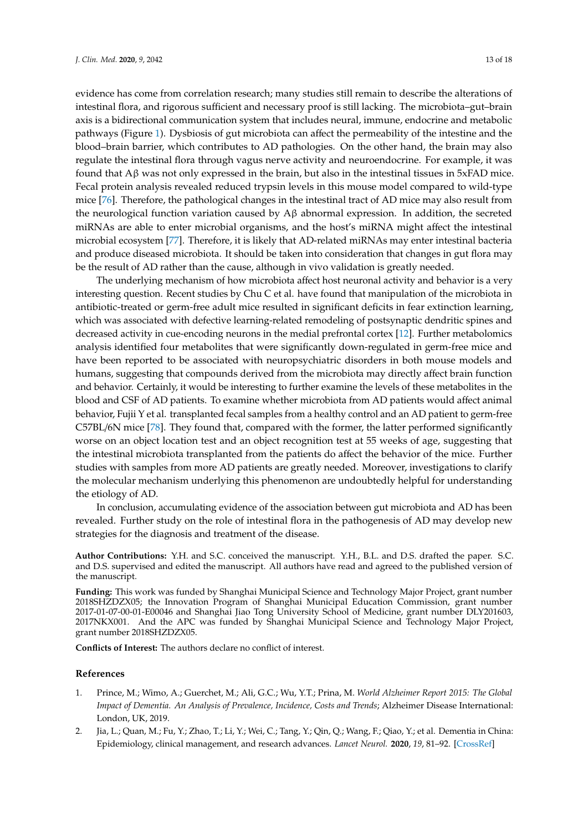evidence has come from correlation research; many studies still remain to describe the alterations of intestinal flora, and rigorous sufficient and necessary proof is still lacking. The microbiota–gut–brain axis is a bidirectional communication system that includes neural, immune, endocrine and metabolic pathways (Figure [1\)](#page-4-0). Dysbiosis of gut microbiota can affect the permeability of the intestine and the blood–brain barrier, which contributes to AD pathologies. On the other hand, the brain may also regulate the intestinal flora through vagus nerve activity and neuroendocrine. For example, it was found that Aβ was not only expressed in the brain, but also in the intestinal tissues in 5xFAD mice. Fecal protein analysis revealed reduced trypsin levels in this mouse model compared to wild-type mice [\[76\]](#page-16-15). Therefore, the pathological changes in the intestinal tract of AD mice may also result from the neurological function variation caused by  $A\beta$  abnormal expression. In addition, the secreted miRNAs are able to enter microbial organisms, and the host's miRNA might affect the intestinal microbial ecosystem [\[77\]](#page-17-0). Therefore, it is likely that AD-related miRNAs may enter intestinal bacteria and produce diseased microbiota. It should be taken into consideration that changes in gut flora may be the result of AD rather than the cause, although in vivo validation is greatly needed.

The underlying mechanism of how microbiota affect host neuronal activity and behavior is a very interesting question. Recent studies by Chu C et al. have found that manipulation of the microbiota in antibiotic-treated or germ-free adult mice resulted in significant deficits in fear extinction learning, which was associated with defective learning-related remodeling of postsynaptic dendritic spines and decreased activity in cue-encoding neurons in the medial prefrontal cortex [\[12\]](#page-13-7). Further metabolomics analysis identified four metabolites that were significantly down-regulated in germ-free mice and have been reported to be associated with neuropsychiatric disorders in both mouse models and humans, suggesting that compounds derived from the microbiota may directly affect brain function and behavior. Certainly, it would be interesting to further examine the levels of these metabolites in the blood and CSF of AD patients. To examine whether microbiota from AD patients would affect animal behavior, Fujii Y et al. transplanted fecal samples from a healthy control and an AD patient to germ-free C57BL/6N mice [\[78\]](#page-17-1). They found that, compared with the former, the latter performed significantly worse on an object location test and an object recognition test at 55 weeks of age, suggesting that the intestinal microbiota transplanted from the patients do affect the behavior of the mice. Further studies with samples from more AD patients are greatly needed. Moreover, investigations to clarify the molecular mechanism underlying this phenomenon are undoubtedly helpful for understanding the etiology of AD.

In conclusion, accumulating evidence of the association between gut microbiota and AD has been revealed. Further study on the role of intestinal flora in the pathogenesis of AD may develop new strategies for the diagnosis and treatment of the disease.

**Author Contributions:** Y.H. and S.C. conceived the manuscript. Y.H., B.L. and D.S. drafted the paper. S.C. and D.S. supervised and edited the manuscript. All authors have read and agreed to the published version of the manuscript.

**Funding:** This work was funded by Shanghai Municipal Science and Technology Major Project, grant number 2018SHZDZX05; the Innovation Program of Shanghai Municipal Education Commission, grant number 2017-01-07-00-01-E00046 and Shanghai Jiao Tong University School of Medicine, grant number DLY201603, 2017NKX001. And the APC was funded by Shanghai Municipal Science and Technology Major Project, grant number 2018SHZDZX05.

**Conflicts of Interest:** The authors declare no conflict of interest.

## **References**

- <span id="page-12-0"></span>1. Prince, M.; Wimo, A.; Guerchet, M.; Ali, G.C.; Wu, Y.T.; Prina, M. *World Alzheimer Report 2015: The Global Impact of Dementia. An Analysis of Prevalence, Incidence, Costs and Trends*; Alzheimer Disease International: London, UK, 2019.
- <span id="page-12-1"></span>2. Jia, L.; Quan, M.; Fu, Y.; Zhao, T.; Li, Y.; Wei, C.; Tang, Y.; Qin, Q.; Wang, F.; Qiao, Y.; et al. Dementia in China: Epidemiology, clinical management, and research advances. *Lancet Neurol.* **2020**, *19*, 81–92. [\[CrossRef\]](http://dx.doi.org/10.1016/S1474-4422(19)30290-X)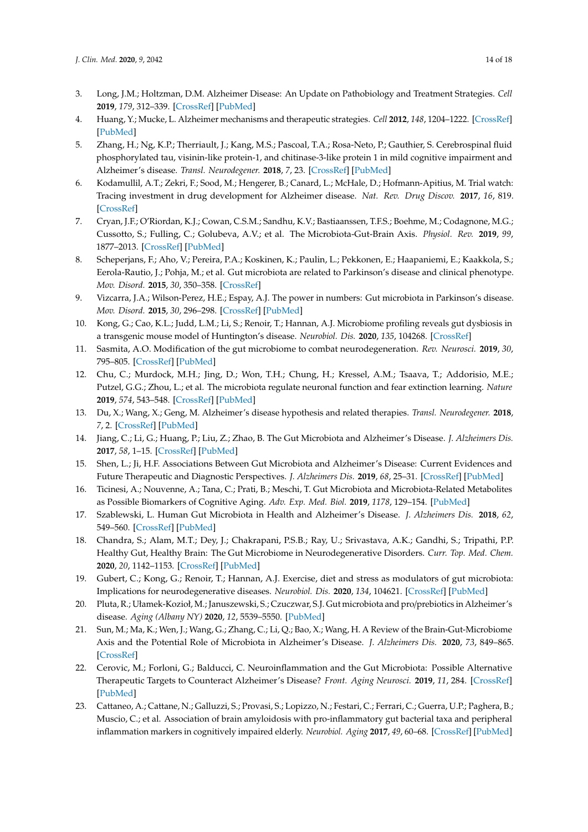- <span id="page-13-0"></span>3. Long, J.M.; Holtzman, D.M. Alzheimer Disease: An Update on Pathobiology and Treatment Strategies. *Cell* **2019**, *179*, 312–339. [\[CrossRef\]](http://dx.doi.org/10.1016/j.cell.2019.09.001) [\[PubMed\]](http://www.ncbi.nlm.nih.gov/pubmed/31564456)
- 4. Huang, Y.; Mucke, L. Alzheimer mechanisms and therapeutic strategies. *Cell* **2012**, *148*, 1204–1222. [\[CrossRef\]](http://dx.doi.org/10.1016/j.cell.2012.02.040) [\[PubMed\]](http://www.ncbi.nlm.nih.gov/pubmed/22424230)
- <span id="page-13-1"></span>5. Zhang, H.; Ng, K.P.; Therriault, J.; Kang, M.S.; Pascoal, T.A.; Rosa-Neto, P.; Gauthier, S. Cerebrospinal fluid phosphorylated tau, visinin-like protein-1, and chitinase-3-like protein 1 in mild cognitive impairment and Alzheimer's disease. *Transl. Neurodegener.* **2018**, *7*, 23. [\[CrossRef\]](http://dx.doi.org/10.1186/s40035-018-0127-7) [\[PubMed\]](http://www.ncbi.nlm.nih.gov/pubmed/30311914)
- <span id="page-13-2"></span>6. Kodamullil, A.T.; Zekri, F.; Sood, M.; Hengerer, B.; Canard, L.; McHale, D.; Hofmann-Apitius, M. Trial watch: Tracing investment in drug development for Alzheimer disease. *Nat. Rev. Drug Discov.* **2017**, *16*, 819. [\[CrossRef\]](http://dx.doi.org/10.1038/nrd.2017.169)
- <span id="page-13-3"></span>7. Cryan, J.F.; O'Riordan, K.J.; Cowan, C.S.M.; Sandhu, K.V.; Bastiaanssen, T.F.S.; Boehme, M.; Codagnone, M.G.; Cussotto, S.; Fulling, C.; Golubeva, A.V.; et al. The Microbiota-Gut-Brain Axis. *Physiol. Rev.* **2019**, *99*, 1877–2013. [\[CrossRef\]](http://dx.doi.org/10.1152/physrev.00018.2018) [\[PubMed\]](http://www.ncbi.nlm.nih.gov/pubmed/31460832)
- <span id="page-13-4"></span>8. Scheperjans, F.; Aho, V.; Pereira, P.A.; Koskinen, K.; Paulin, L.; Pekkonen, E.; Haapaniemi, E.; Kaakkola, S.; Eerola-Rautio, J.; Pohja, M.; et al. Gut microbiota are related to Parkinson's disease and clinical phenotype. *Mov. Disord.* **2015**, *30*, 350–358. [\[CrossRef\]](http://dx.doi.org/10.1002/mds.26069)
- 9. Vizcarra, J.A.; Wilson-Perez, H.E.; Espay, A.J. The power in numbers: Gut microbiota in Parkinson's disease. *Mov. Disord.* **2015**, *30*, 296–298. [\[CrossRef\]](http://dx.doi.org/10.1002/mds.26116) [\[PubMed\]](http://www.ncbi.nlm.nih.gov/pubmed/25545262)
- <span id="page-13-5"></span>10. Kong, G.; Cao, K.L.; Judd, L.M.; Li, S.; Renoir, T.; Hannan, A.J. Microbiome profiling reveals gut dysbiosis in a transgenic mouse model of Huntington's disease. *Neurobiol. Dis.* **2020**, *135*, 104268. [\[CrossRef\]](http://dx.doi.org/10.1016/j.nbd.2018.09.001)
- <span id="page-13-6"></span>11. Sasmita, A.O. Modification of the gut microbiome to combat neurodegeneration. *Rev. Neurosci.* **2019**, *30*, 795–805. [\[CrossRef\]](http://dx.doi.org/10.1515/revneuro-2019-0005) [\[PubMed\]](http://www.ncbi.nlm.nih.gov/pubmed/31095511)
- <span id="page-13-7"></span>12. Chu, C.; Murdock, M.H.; Jing, D.; Won, T.H.; Chung, H.; Kressel, A.M.; Tsaava, T.; Addorisio, M.E.; Putzel, G.G.; Zhou, L.; et al. The microbiota regulate neuronal function and fear extinction learning. *Nature* **2019**, *574*, 543–548. [\[CrossRef\]](http://dx.doi.org/10.1038/s41586-019-1644-y) [\[PubMed\]](http://www.ncbi.nlm.nih.gov/pubmed/31645720)
- <span id="page-13-8"></span>13. Du, X.; Wang, X.; Geng, M. Alzheimer's disease hypothesis and related therapies. *Transl. Neurodegener.* **2018**, *7*, 2. [\[CrossRef\]](http://dx.doi.org/10.1186/s40035-018-0107-y) [\[PubMed\]](http://www.ncbi.nlm.nih.gov/pubmed/29423193)
- <span id="page-13-9"></span>14. Jiang, C.; Li, G.; Huang, P.; Liu, Z.; Zhao, B. The Gut Microbiota and Alzheimer's Disease. *J. Alzheimers Dis.* **2017**, *58*, 1–15. [\[CrossRef\]](http://dx.doi.org/10.3233/JAD-161141) [\[PubMed\]](http://www.ncbi.nlm.nih.gov/pubmed/28372330)
- <span id="page-13-15"></span>15. Shen, L.; Ji, H.F. Associations Between Gut Microbiota and Alzheimer's Disease: Current Evidences and Future Therapeutic and Diagnostic Perspectives. *J. Alzheimers Dis.* **2019**, *68*, 25–31. [\[CrossRef\]](http://dx.doi.org/10.3233/JAD-181143) [\[PubMed\]](http://www.ncbi.nlm.nih.gov/pubmed/30814354)
- <span id="page-13-14"></span>16. Ticinesi, A.; Nouvenne, A.; Tana, C.; Prati, B.; Meschi, T. Gut Microbiota and Microbiota-Related Metabolites as Possible Biomarkers of Cognitive Aging. *Adv. Exp. Med. Biol.* **2019**, *1178*, 129–154. [\[PubMed\]](http://www.ncbi.nlm.nih.gov/pubmed/31493226)
- <span id="page-13-10"></span>17. Szablewski, L. Human Gut Microbiota in Health and Alzheimer's Disease. *J. Alzheimers Dis.* **2018**, *62*, 549–560. [\[CrossRef\]](http://dx.doi.org/10.3233/JAD-170908) [\[PubMed\]](http://www.ncbi.nlm.nih.gov/pubmed/29480188)
- <span id="page-13-11"></span>18. Chandra, S.; Alam, M.T.; Dey, J.; Chakrapani, P.S.B.; Ray, U.; Srivastava, A.K.; Gandhi, S.; Tripathi, P.P. Healthy Gut, Healthy Brain: The Gut Microbiome in Neurodegenerative Disorders. *Curr. Top. Med. Chem.* **2020**, *20*, 1142–1153. [\[CrossRef\]](http://dx.doi.org/10.2174/1568026620666200413091101) [\[PubMed\]](http://www.ncbi.nlm.nih.gov/pubmed/32282304)
- 19. Gubert, C.; Kong, G.; Renoir, T.; Hannan, A.J. Exercise, diet and stress as modulators of gut microbiota: Implications for neurodegenerative diseases. *Neurobiol. Dis.* **2020**, *134*, 104621. [\[CrossRef\]](http://dx.doi.org/10.1016/j.nbd.2019.104621) [\[PubMed\]](http://www.ncbi.nlm.nih.gov/pubmed/31628992)
- 20. Pluta, R.; Ułamek-Kozioł, M.; Januszewski, S.; Czuczwar, S.J. Gut microbiota and pro/prebiotics in Alzheimer's disease. *Aging (Albany NY)* **2020**, *12*, 5539–5550. [\[PubMed\]](http://www.ncbi.nlm.nih.gov/pubmed/32191919)
- 21. Sun, M.; Ma, K.; Wen, J.; Wang, G.; Zhang, C.; Li, Q.; Bao, X.; Wang, H. A Review of the Brain-Gut-Microbiome Axis and the Potential Role of Microbiota in Alzheimer's Disease. *J. Alzheimers Dis.* **2020**, *73*, 849–865. [\[CrossRef\]](http://dx.doi.org/10.3233/JAD-190872)
- <span id="page-13-12"></span>22. Cerovic, M.; Forloni, G.; Balducci, C. Neuroinflammation and the Gut Microbiota: Possible Alternative Therapeutic Targets to Counteract Alzheimer's Disease? *Front. Aging Neurosci.* **2019**, *11*, 284. [\[CrossRef\]](http://dx.doi.org/10.3389/fnagi.2019.00284) [\[PubMed\]](http://www.ncbi.nlm.nih.gov/pubmed/31680937)
- <span id="page-13-13"></span>23. Cattaneo, A.; Cattane, N.; Galluzzi, S.; Provasi, S.; Lopizzo, N.; Festari, C.; Ferrari, C.; Guerra, U.P.; Paghera, B.; Muscio, C.; et al. Association of brain amyloidosis with pro-inflammatory gut bacterial taxa and peripheral inflammation markers in cognitively impaired elderly. *Neurobiol. Aging* **2017**, *49*, 60–68. [\[CrossRef\]](http://dx.doi.org/10.1016/j.neurobiolaging.2016.08.019) [\[PubMed\]](http://www.ncbi.nlm.nih.gov/pubmed/27776263)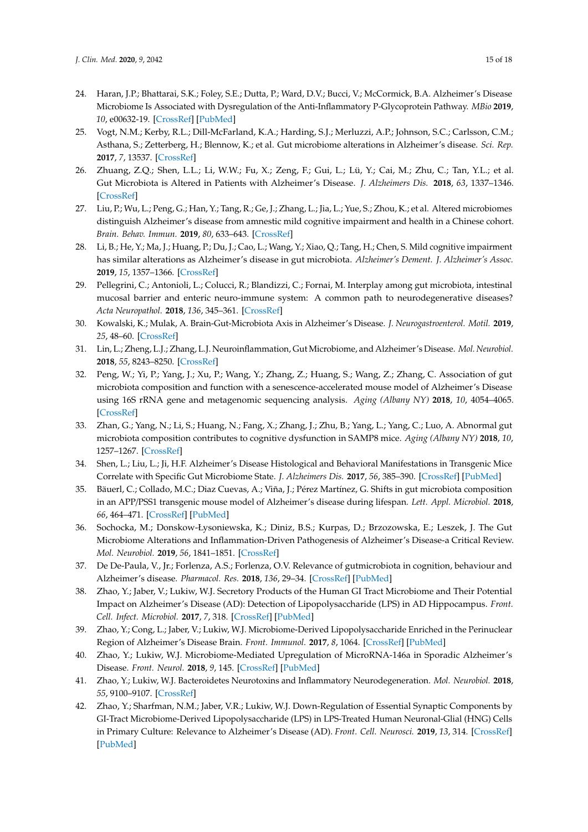- <span id="page-14-0"></span>24. Haran, J.P.; Bhattarai, S.K.; Foley, S.E.; Dutta, P.; Ward, D.V.; Bucci, V.; McCormick, B.A. Alzheimer's Disease Microbiome Is Associated with Dysregulation of the Anti-Inflammatory P-Glycoprotein Pathway. *MBio* **2019**, *10*, e00632-19. [\[CrossRef\]](http://dx.doi.org/10.1128/mBio.00632-19) [\[PubMed\]](http://www.ncbi.nlm.nih.gov/pubmed/31064831)
- <span id="page-14-1"></span>25. Vogt, N.M.; Kerby, R.L.; Dill-McFarland, K.A.; Harding, S.J.; Merluzzi, A.P.; Johnson, S.C.; Carlsson, C.M.; Asthana, S.; Zetterberg, H.; Blennow, K.; et al. Gut microbiome alterations in Alzheimer's disease. *Sci. Rep.* **2017**, *7*, 13537. [\[CrossRef\]](http://dx.doi.org/10.1038/s41598-017-13601-y)
- <span id="page-14-2"></span>26. Zhuang, Z.Q.; Shen, L.L.; Li, W.W.; Fu, X.; Zeng, F.; Gui, L.; Lü, Y.; Cai, M.; Zhu, C.; Tan, Y.L.; et al. Gut Microbiota is Altered in Patients with Alzheimer's Disease. *J. Alzheimers Dis.* **2018**, *63*, 1337–1346. [\[CrossRef\]](http://dx.doi.org/10.3233/JAD-180176)
- <span id="page-14-3"></span>27. Liu, P.; Wu, L.; Peng, G.; Han, Y.; Tang, R.; Ge, J.; Zhang, L.; Jia, L.; Yue, S.; Zhou, K.; et al. Altered microbiomes distinguish Alzheimer's disease from amnestic mild cognitive impairment and health in a Chinese cohort. *Brain. Behav. Immun.* **2019**, *80*, 633–643. [\[CrossRef\]](http://dx.doi.org/10.1016/j.bbi.2019.05.008)
- <span id="page-14-4"></span>28. Li, B.; He, Y.; Ma, J.; Huang, P.; Du, J.; Cao, L.; Wang, Y.; Xiao, Q.; Tang, H.; Chen, S. Mild cognitive impairment has similar alterations as Alzheimer's disease in gut microbiota. *Alzheimer's Dement. J. Alzheimer's Assoc.* **2019**, *15*, 1357–1366. [\[CrossRef\]](http://dx.doi.org/10.1016/j.jalz.2019.07.002)
- <span id="page-14-5"></span>29. Pellegrini, C.; Antonioli, L.; Colucci, R.; Blandizzi, C.; Fornai, M. Interplay among gut microbiota, intestinal mucosal barrier and enteric neuro-immune system: A common path to neurodegenerative diseases? *Acta Neuropathol.* **2018**, *136*, 345–361. [\[CrossRef\]](http://dx.doi.org/10.1007/s00401-018-1856-5)
- 30. Kowalski, K.; Mulak, A. Brain-Gut-Microbiota Axis in Alzheimer's Disease. *J. Neurogastroenterol. Motil.* **2019**, *25*, 48–60. [\[CrossRef\]](http://dx.doi.org/10.5056/jnm18087)
- <span id="page-14-6"></span>31. Lin, L.; Zheng, L.J.; Zhang, L.J. Neuroinflammation, Gut Microbiome, and Alzheimer's Disease. *Mol. Neurobiol.* **2018**, *55*, 8243–8250. [\[CrossRef\]](http://dx.doi.org/10.1007/s12035-018-0983-2)
- <span id="page-14-7"></span>32. Peng, W.; Yi, P.; Yang, J.; Xu, P.; Wang, Y.; Zhang, Z.; Huang, S.; Wang, Z.; Zhang, C. Association of gut microbiota composition and function with a senescence-accelerated mouse model of Alzheimer's Disease using 16S rRNA gene and metagenomic sequencing analysis. *Aging (Albany NY)* **2018**, *10*, 4054–4065. [\[CrossRef\]](http://dx.doi.org/10.18632/aging.101693)
- <span id="page-14-8"></span>33. Zhan, G.; Yang, N.; Li, S.; Huang, N.; Fang, X.; Zhang, J.; Zhu, B.; Yang, L.; Yang, C.; Luo, A. Abnormal gut microbiota composition contributes to cognitive dysfunction in SAMP8 mice. *Aging (Albany NY)* **2018**, *10*, 1257–1267. [\[CrossRef\]](http://dx.doi.org/10.18632/aging.101464)
- <span id="page-14-9"></span>34. Shen, L.; Liu, L.; Ji, H.F. Alzheimer's Disease Histological and Behavioral Manifestations in Transgenic Mice Correlate with Specific Gut Microbiome State. *J. Alzheimers Dis.* **2017**, *56*, 385–390. [\[CrossRef\]](http://dx.doi.org/10.3233/JAD-160884) [\[PubMed\]](http://www.ncbi.nlm.nih.gov/pubmed/27911317)
- <span id="page-14-10"></span>35. Bäuerl, C.; Collado, M.C.; Diaz Cuevas, A.; Viña, J.; Pérez Martínez, G. Shifts in gut microbiota composition in an APP/PSS1 transgenic mouse model of Alzheimer's disease during lifespan. *Lett. Appl. Microbiol.* **2018**, *66*, 464–471. [\[CrossRef\]](http://dx.doi.org/10.1111/lam.12882) [\[PubMed\]](http://www.ncbi.nlm.nih.gov/pubmed/29575030)
- <span id="page-14-11"></span>36. Sochocka, M.; Donskow-Łysoniewska, K.; Diniz, B.S.; Kurpas, D.; Brzozowska, E.; Leszek, J. The Gut Microbiome Alterations and Inflammation-Driven Pathogenesis of Alzheimer's Disease-a Critical Review. *Mol. Neurobiol.* **2019**, *56*, 1841–1851. [\[CrossRef\]](http://dx.doi.org/10.1007/s12035-018-1188-4)
- <span id="page-14-12"></span>37. De De-Paula, V., Jr.; Forlenza, A.S.; Forlenza, O.V. Relevance of gutmicrobiota in cognition, behaviour and Alzheimer's disease. *Pharmacol. Res.* **2018**, *136*, 29–34. [\[CrossRef\]](http://dx.doi.org/10.1016/j.phrs.2018.07.007) [\[PubMed\]](http://www.ncbi.nlm.nih.gov/pubmed/30138667)
- <span id="page-14-13"></span>38. Zhao, Y.; Jaber, V.; Lukiw, W.J. Secretory Products of the Human GI Tract Microbiome and Their Potential Impact on Alzheimer's Disease (AD): Detection of Lipopolysaccharide (LPS) in AD Hippocampus. *Front. Cell. Infect. Microbiol.* **2017**, *7*, 318. [\[CrossRef\]](http://dx.doi.org/10.3389/fcimb.2017.00318) [\[PubMed\]](http://www.ncbi.nlm.nih.gov/pubmed/28744452)
- <span id="page-14-14"></span>39. Zhao, Y.; Cong, L.; Jaber, V.; Lukiw, W.J. Microbiome-Derived Lipopolysaccharide Enriched in the Perinuclear Region of Alzheimer's Disease Brain. *Front. Immunol.* **2017**, *8*, 1064. [\[CrossRef\]](http://dx.doi.org/10.3389/fimmu.2017.01064) [\[PubMed\]](http://www.ncbi.nlm.nih.gov/pubmed/28928740)
- <span id="page-14-15"></span>40. Zhao, Y.; Lukiw, W.J. Microbiome-Mediated Upregulation of MicroRNA-146a in Sporadic Alzheimer's Disease. *Front. Neurol.* **2018**, *9*, 145. [\[CrossRef\]](http://dx.doi.org/10.3389/fneur.2018.00145) [\[PubMed\]](http://www.ncbi.nlm.nih.gov/pubmed/29615954)
- <span id="page-14-16"></span>41. Zhao, Y.; Lukiw, W.J. Bacteroidetes Neurotoxins and Inflammatory Neurodegeneration. *Mol. Neurobiol.* **2018**, *55*, 9100–9107. [\[CrossRef\]](http://dx.doi.org/10.1007/s12035-018-1015-y)
- <span id="page-14-17"></span>42. Zhao, Y.; Sharfman, N.M.; Jaber, V.R.; Lukiw, W.J. Down-Regulation of Essential Synaptic Components by GI-Tract Microbiome-Derived Lipopolysaccharide (LPS) in LPS-Treated Human Neuronal-Glial (HNG) Cells in Primary Culture: Relevance to Alzheimer's Disease (AD). *Front. Cell. Neurosci.* **2019**, *13*, 314. [\[CrossRef\]](http://dx.doi.org/10.3389/fncel.2019.00314) [\[PubMed\]](http://www.ncbi.nlm.nih.gov/pubmed/31354434)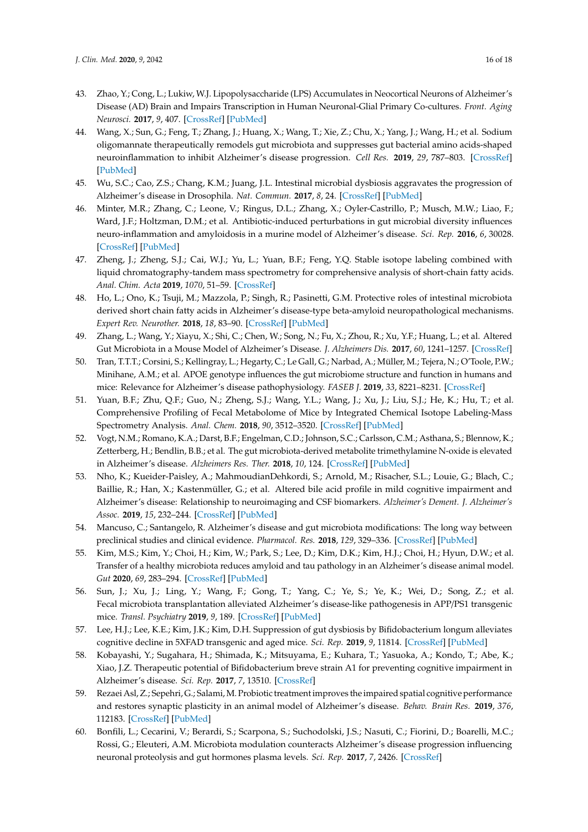- <span id="page-15-0"></span>43. Zhao, Y.; Cong, L.; Lukiw, W.J. Lipopolysaccharide (LPS) Accumulates in Neocortical Neurons of Alzheimer's Disease (AD) Brain and Impairs Transcription in Human Neuronal-Glial Primary Co-cultures. *Front. Aging Neurosci.* **2017**, *9*, 407. [\[CrossRef\]](http://dx.doi.org/10.3389/fnagi.2017.00407) [\[PubMed\]](http://www.ncbi.nlm.nih.gov/pubmed/29311897)
- <span id="page-15-1"></span>44. Wang, X.; Sun, G.; Feng, T.; Zhang, J.; Huang, X.; Wang, T.; Xie, Z.; Chu, X.; Yang, J.; Wang, H.; et al. Sodium oligomannate therapeutically remodels gut microbiota and suppresses gut bacterial amino acids-shaped neuroinflammation to inhibit Alzheimer's disease progression. *Cell Res.* **2019**, *29*, 787–803. [\[CrossRef\]](http://dx.doi.org/10.1038/s41422-019-0216-x) [\[PubMed\]](http://www.ncbi.nlm.nih.gov/pubmed/31488882)
- <span id="page-15-2"></span>45. Wu, S.C.; Cao, Z.S.; Chang, K.M.; Juang, J.L. Intestinal microbial dysbiosis aggravates the progression of Alzheimer's disease in Drosophila. *Nat. Commun.* **2017**, *8*, 24. [\[CrossRef\]](http://dx.doi.org/10.1038/s41467-017-00040-6) [\[PubMed\]](http://www.ncbi.nlm.nih.gov/pubmed/28634323)
- <span id="page-15-3"></span>46. Minter, M.R.; Zhang, C.; Leone, V.; Ringus, D.L.; Zhang, X.; Oyler-Castrillo, P.; Musch, M.W.; Liao, F.; Ward, J.F.; Holtzman, D.M.; et al. Antibiotic-induced perturbations in gut microbial diversity influences neuro-inflammation and amyloidosis in a murine model of Alzheimer's disease. *Sci. Rep.* **2016**, *6*, 30028. [\[CrossRef\]](http://dx.doi.org/10.1038/srep30028) [\[PubMed\]](http://www.ncbi.nlm.nih.gov/pubmed/27443609)
- <span id="page-15-4"></span>47. Zheng, J.; Zheng, S.J.; Cai, W.J.; Yu, L.; Yuan, B.F.; Feng, Y.Q. Stable isotope labeling combined with liquid chromatography-tandem mass spectrometry for comprehensive analysis of short-chain fatty acids. *Anal. Chim. Acta* **2019**, *1070*, 51–59. [\[CrossRef\]](http://dx.doi.org/10.1016/j.aca.2019.04.021)
- <span id="page-15-5"></span>48. Ho, L.; Ono, K.; Tsuji, M.; Mazzola, P.; Singh, R.; Pasinetti, G.M. Protective roles of intestinal microbiota derived short chain fatty acids in Alzheimer's disease-type beta-amyloid neuropathological mechanisms. *Expert Rev. Neurother.* **2018**, *18*, 83–90. [\[CrossRef\]](http://dx.doi.org/10.1080/14737175.2018.1400909) [\[PubMed\]](http://www.ncbi.nlm.nih.gov/pubmed/29095058)
- <span id="page-15-6"></span>49. Zhang, L.; Wang, Y.; Xiayu, X.; Shi, C.; Chen, W.; Song, N.; Fu, X.; Zhou, R.; Xu, Y.F.; Huang, L.; et al. Altered Gut Microbiota in a Mouse Model of Alzheimer's Disease. *J. Alzheimers Dis.* **2017**, *60*, 1241–1257. [\[CrossRef\]](http://dx.doi.org/10.3233/JAD-170020)
- <span id="page-15-7"></span>50. Tran, T.T.T.; Corsini, S.; Kellingray, L.; Hegarty, C.; Le Gall, G.; Narbad, A.; Müller, M.; Tejera, N.; O'Toole, P.W.; Minihane, A.M.; et al. APOE genotype influences the gut microbiome structure and function in humans and mice: Relevance for Alzheimer's disease pathophysiology. *FASEB J.* **2019**, *33*, 8221–8231. [\[CrossRef\]](http://dx.doi.org/10.1096/fj.201900071R)
- <span id="page-15-8"></span>51. Yuan, B.F.; Zhu, Q.F.; Guo, N.; Zheng, S.J.; Wang, Y.L.; Wang, J.; Xu, J.; Liu, S.J.; He, K.; Hu, T.; et al. Comprehensive Profiling of Fecal Metabolome of Mice by Integrated Chemical Isotope Labeling-Mass Spectrometry Analysis. *Anal. Chem.* **2018**, *90*, 3512–3520. [\[CrossRef\]](http://dx.doi.org/10.1021/acs.analchem.7b05355) [\[PubMed\]](http://www.ncbi.nlm.nih.gov/pubmed/29406693)
- <span id="page-15-9"></span>52. Vogt, N.M.; Romano, K.A.; Darst, B.F.; Engelman, C.D.; Johnson, S.C.; Carlsson, C.M.; Asthana, S.; Blennow, K.; Zetterberg, H.; Bendlin, B.B.; et al. The gut microbiota-derived metabolite trimethylamine N-oxide is elevated in Alzheimer's disease. *Alzheimers Res. Ther.* **2018**, *10*, 124. [\[CrossRef\]](http://dx.doi.org/10.1186/s13195-018-0451-2) [\[PubMed\]](http://www.ncbi.nlm.nih.gov/pubmed/30579367)
- <span id="page-15-10"></span>53. Nho, K.; Kueider-Paisley, A.; MahmoudianDehkordi, S.; Arnold, M.; Risacher, S.L.; Louie, G.; Blach, C.; Baillie, R.; Han, X.; Kastenmüller, G.; et al. Altered bile acid profile in mild cognitive impairment and Alzheimer's disease: Relationship to neuroimaging and CSF biomarkers. *Alzheimer's Dement. J. Alzheimer's Assoc.* **2019**, *15*, 232–244. [\[CrossRef\]](http://dx.doi.org/10.1016/j.jalz.2018.08.012) [\[PubMed\]](http://www.ncbi.nlm.nih.gov/pubmed/30337152)
- <span id="page-15-11"></span>54. Mancuso, C.; Santangelo, R. Alzheimer's disease and gut microbiota modifications: The long way between preclinical studies and clinical evidence. *Pharmacol. Res.* **2018**, *129*, 329–336. [\[CrossRef\]](http://dx.doi.org/10.1016/j.phrs.2017.12.009) [\[PubMed\]](http://www.ncbi.nlm.nih.gov/pubmed/29233677)
- <span id="page-15-12"></span>55. Kim, M.S.; Kim, Y.; Choi, H.; Kim, W.; Park, S.; Lee, D.; Kim, D.K.; Kim, H.J.; Choi, H.; Hyun, D.W.; et al. Transfer of a healthy microbiota reduces amyloid and tau pathology in an Alzheimer's disease animal model. *Gut* **2020**, *69*, 283–294. [\[CrossRef\]](http://dx.doi.org/10.1136/gutjnl-2018-317431) [\[PubMed\]](http://www.ncbi.nlm.nih.gov/pubmed/31471351)
- <span id="page-15-13"></span>56. Sun, J.; Xu, J.; Ling, Y.; Wang, F.; Gong, T.; Yang, C.; Ye, S.; Ye, K.; Wei, D.; Song, Z.; et al. Fecal microbiota transplantation alleviated Alzheimer's disease-like pathogenesis in APP/PS1 transgenic mice. *Transl. Psychiatry* **2019**, *9*, 189. [\[CrossRef\]](http://dx.doi.org/10.1038/s41398-019-0525-3) [\[PubMed\]](http://www.ncbi.nlm.nih.gov/pubmed/31383855)
- <span id="page-15-14"></span>57. Lee, H.J.; Lee, K.E.; Kim, J.K.; Kim, D.H. Suppression of gut dysbiosis by Bifidobacterium longum alleviates cognitive decline in 5XFAD transgenic and aged mice. *Sci. Rep.* **2019**, *9*, 11814. [\[CrossRef\]](http://dx.doi.org/10.1038/s41598-019-48342-7) [\[PubMed\]](http://www.ncbi.nlm.nih.gov/pubmed/31413350)
- <span id="page-15-15"></span>58. Kobayashi, Y.; Sugahara, H.; Shimada, K.; Mitsuyama, E.; Kuhara, T.; Yasuoka, A.; Kondo, T.; Abe, K.; Xiao, J.Z. Therapeutic potential of Bifidobacterium breve strain A1 for preventing cognitive impairment in Alzheimer's disease. *Sci. Rep.* **2017**, *7*, 13510. [\[CrossRef\]](http://dx.doi.org/10.1038/s41598-017-13368-2)
- <span id="page-15-16"></span>59. Rezaei Asl, Z.; Sepehri, G.; Salami,M. Probiotic treatment improves the impaired spatial cognitive performance and restores synaptic plasticity in an animal model of Alzheimer's disease. *Behav. Brain Res.* **2019**, *376*, 112183. [\[CrossRef\]](http://dx.doi.org/10.1016/j.bbr.2019.112183) [\[PubMed\]](http://www.ncbi.nlm.nih.gov/pubmed/31472194)
- <span id="page-15-17"></span>60. Bonfili, L.; Cecarini, V.; Berardi, S.; Scarpona, S.; Suchodolski, J.S.; Nasuti, C.; Fiorini, D.; Boarelli, M.C.; Rossi, G.; Eleuteri, A.M. Microbiota modulation counteracts Alzheimer's disease progression influencing neuronal proteolysis and gut hormones plasma levels. *Sci. Rep.* **2017**, *7*, 2426. [\[CrossRef\]](http://dx.doi.org/10.1038/s41598-017-02587-2)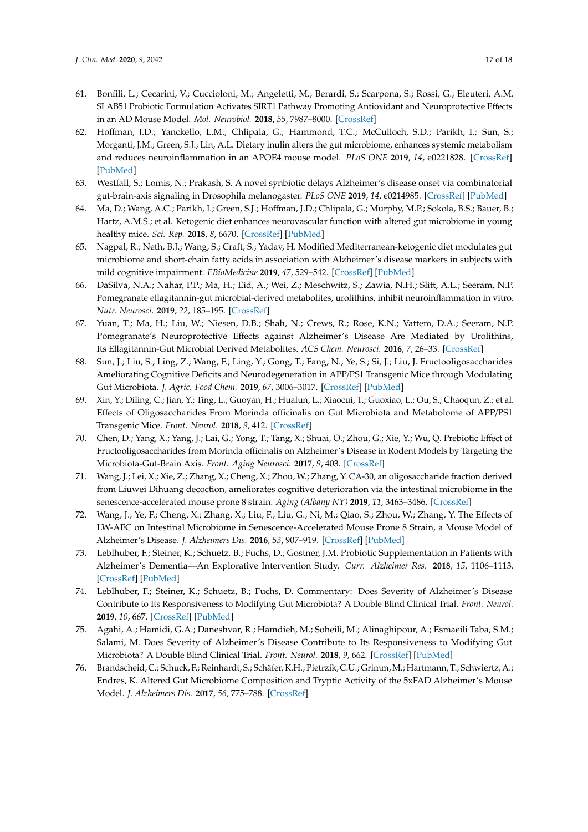- <span id="page-16-0"></span>61. Bonfili, L.; Cecarini, V.; Cuccioloni, M.; Angeletti, M.; Berardi, S.; Scarpona, S.; Rossi, G.; Eleuteri, A.M. SLAB51 Probiotic Formulation Activates SIRT1 Pathway Promoting Antioxidant and Neuroprotective Effects in an AD Mouse Model. *Mol. Neurobiol.* **2018**, *55*, 7987–8000. [\[CrossRef\]](http://dx.doi.org/10.1007/s12035-018-0973-4)
- <span id="page-16-1"></span>62. Hoffman, J.D.; Yanckello, L.M.; Chlipala, G.; Hammond, T.C.; McCulloch, S.D.; Parikh, I.; Sun, S.; Morganti, J.M.; Green, S.J.; Lin, A.L. Dietary inulin alters the gut microbiome, enhances systemic metabolism and reduces neuroinflammation in an APOE4 mouse model. *PLoS ONE* **2019**, *14*, e0221828. [\[CrossRef\]](http://dx.doi.org/10.1371/journal.pone.0221828) [\[PubMed\]](http://www.ncbi.nlm.nih.gov/pubmed/31461505)
- <span id="page-16-2"></span>63. Westfall, S.; Lomis, N.; Prakash, S. A novel synbiotic delays Alzheimer's disease onset via combinatorial gut-brain-axis signaling in Drosophila melanogaster. *PLoS ONE* **2019**, *14*, e0214985. [\[CrossRef\]](http://dx.doi.org/10.1371/journal.pone.0214985) [\[PubMed\]](http://www.ncbi.nlm.nih.gov/pubmed/31009489)
- <span id="page-16-3"></span>64. Ma, D.; Wang, A.C.; Parikh, I.; Green, S.J.; Hoffman, J.D.; Chlipala, G.; Murphy, M.P.; Sokola, B.S.; Bauer, B.; Hartz, A.M.S.; et al. Ketogenic diet enhances neurovascular function with altered gut microbiome in young healthy mice. *Sci. Rep.* **2018**, *8*, 6670. [\[CrossRef\]](http://dx.doi.org/10.1038/s41598-018-25190-5) [\[PubMed\]](http://www.ncbi.nlm.nih.gov/pubmed/29703936)
- <span id="page-16-4"></span>65. Nagpal, R.; Neth, B.J.; Wang, S.; Craft, S.; Yadav, H. Modified Mediterranean-ketogenic diet modulates gut microbiome and short-chain fatty acids in association with Alzheimer's disease markers in subjects with mild cognitive impairment. *EBioMedicine* **2019**, *47*, 529–542. [\[CrossRef\]](http://dx.doi.org/10.1016/j.ebiom.2019.08.032) [\[PubMed\]](http://www.ncbi.nlm.nih.gov/pubmed/31477562)
- <span id="page-16-5"></span>66. DaSilva, N.A.; Nahar, P.P.; Ma, H.; Eid, A.; Wei, Z.; Meschwitz, S.; Zawia, N.H.; Slitt, A.L.; Seeram, N.P. Pomegranate ellagitannin-gut microbial-derived metabolites, urolithins, inhibit neuroinflammation in vitro. *Nutr. Neurosci.* **2019**, *22*, 185–195. [\[CrossRef\]](http://dx.doi.org/10.1080/1028415X.2017.1360558)
- <span id="page-16-6"></span>67. Yuan, T.; Ma, H.; Liu, W.; Niesen, D.B.; Shah, N.; Crews, R.; Rose, K.N.; Vattem, D.A.; Seeram, N.P. Pomegranate's Neuroprotective Effects against Alzheimer's Disease Are Mediated by Urolithins, Its Ellagitannin-Gut Microbial Derived Metabolites. *ACS Chem. Neurosci.* **2016**, *7*, 26–33. [\[CrossRef\]](http://dx.doi.org/10.1021/acschemneuro.5b00260)
- <span id="page-16-7"></span>68. Sun, J.; Liu, S.; Ling, Z.; Wang, F.; Ling, Y.; Gong, T.; Fang, N.; Ye, S.; Si, J.; Liu, J. Fructooligosaccharides Ameliorating Cognitive Deficits and Neurodegeneration in APP/PS1 Transgenic Mice through Modulating Gut Microbiota. *J. Agric. Food Chem.* **2019**, *67*, 3006–3017. [\[CrossRef\]](http://dx.doi.org/10.1021/acs.jafc.8b07313) [\[PubMed\]](http://www.ncbi.nlm.nih.gov/pubmed/30816709)
- <span id="page-16-8"></span>69. Xin, Y.; Diling, C.; Jian, Y.; Ting, L.; Guoyan, H.; Hualun, L.; Xiaocui, T.; Guoxiao, L.; Ou, S.; Chaoqun, Z.; et al. Effects of Oligosaccharides From Morinda officinalis on Gut Microbiota and Metabolome of APP/PS1 Transgenic Mice. *Front. Neurol.* **2018**, *9*, 412. [\[CrossRef\]](http://dx.doi.org/10.3389/fneur.2018.00412)
- <span id="page-16-9"></span>70. Chen, D.; Yang, X.; Yang, J.; Lai, G.; Yong, T.; Tang, X.; Shuai, O.; Zhou, G.; Xie, Y.; Wu, Q. Prebiotic Effect of Fructooligosaccharides from Morinda officinalis on Alzheimer's Disease in Rodent Models by Targeting the Microbiota-Gut-Brain Axis. *Front. Aging Neurosci.* **2017**, *9*, 403. [\[CrossRef\]](http://dx.doi.org/10.3389/fnagi.2017.00403)
- <span id="page-16-10"></span>71. Wang, J.; Lei, X.; Xie, Z.; Zhang, X.; Cheng, X.; Zhou, W.; Zhang, Y. CA-30, an oligosaccharide fraction derived from Liuwei Dihuang decoction, ameliorates cognitive deterioration via the intestinal microbiome in the senescence-accelerated mouse prone 8 strain. *Aging (Albany NY)* **2019**, *11*, 3463–3486. [\[CrossRef\]](http://dx.doi.org/10.18632/aging.101990)
- <span id="page-16-11"></span>72. Wang, J.; Ye, F.; Cheng, X.; Zhang, X.; Liu, F.; Liu, G.; Ni, M.; Qiao, S.; Zhou, W.; Zhang, Y. The Effects of LW-AFC on Intestinal Microbiome in Senescence-Accelerated Mouse Prone 8 Strain, a Mouse Model of Alzheimer's Disease. *J. Alzheimers Dis.* **2016**, *53*, 907–919. [\[CrossRef\]](http://dx.doi.org/10.3233/JAD-160138) [\[PubMed\]](http://www.ncbi.nlm.nih.gov/pubmed/27340848)
- <span id="page-16-12"></span>73. Leblhuber, F.; Steiner, K.; Schuetz, B.; Fuchs, D.; Gostner, J.M. Probiotic Supplementation in Patients with Alzheimer's Dementia—An Explorative Intervention Study. *Curr. Alzheimer Res.* **2018**, *15*, 1106–1113. [\[CrossRef\]](http://dx.doi.org/10.2174/1389200219666180813144834) [\[PubMed\]](http://www.ncbi.nlm.nih.gov/pubmed/30101706)
- <span id="page-16-13"></span>74. Leblhuber, F.; Steiner, K.; Schuetz, B.; Fuchs, D. Commentary: Does Severity of Alzheimer's Disease Contribute to Its Responsiveness to Modifying Gut Microbiota? A Double Blind Clinical Trial. *Front. Neurol.* **2019**, *10*, 667. [\[CrossRef\]](http://dx.doi.org/10.3389/fneur.2019.00667) [\[PubMed\]](http://www.ncbi.nlm.nih.gov/pubmed/31333558)
- <span id="page-16-14"></span>75. Agahi, A.; Hamidi, G.A.; Daneshvar, R.; Hamdieh, M.; Soheili, M.; Alinaghipour, A.; Esmaeili Taba, S.M.; Salami, M. Does Severity of Alzheimer's Disease Contribute to Its Responsiveness to Modifying Gut Microbiota? A Double Blind Clinical Trial. *Front. Neurol.* **2018**, *9*, 662. [\[CrossRef\]](http://dx.doi.org/10.3389/fneur.2018.00662) [\[PubMed\]](http://www.ncbi.nlm.nih.gov/pubmed/30158897)
- <span id="page-16-15"></span>76. Brandscheid, C.; Schuck, F.; Reinhardt, S.; Schäfer, K.H.; Pietrzik, C.U.; Grimm,M.; Hartmann, T.; Schwiertz, A.; Endres, K. Altered Gut Microbiome Composition and Tryptic Activity of the 5xFAD Alzheimer's Mouse Model. *J. Alzheimers Dis.* **2017**, *56*, 775–788. [\[CrossRef\]](http://dx.doi.org/10.3233/JAD-160926)